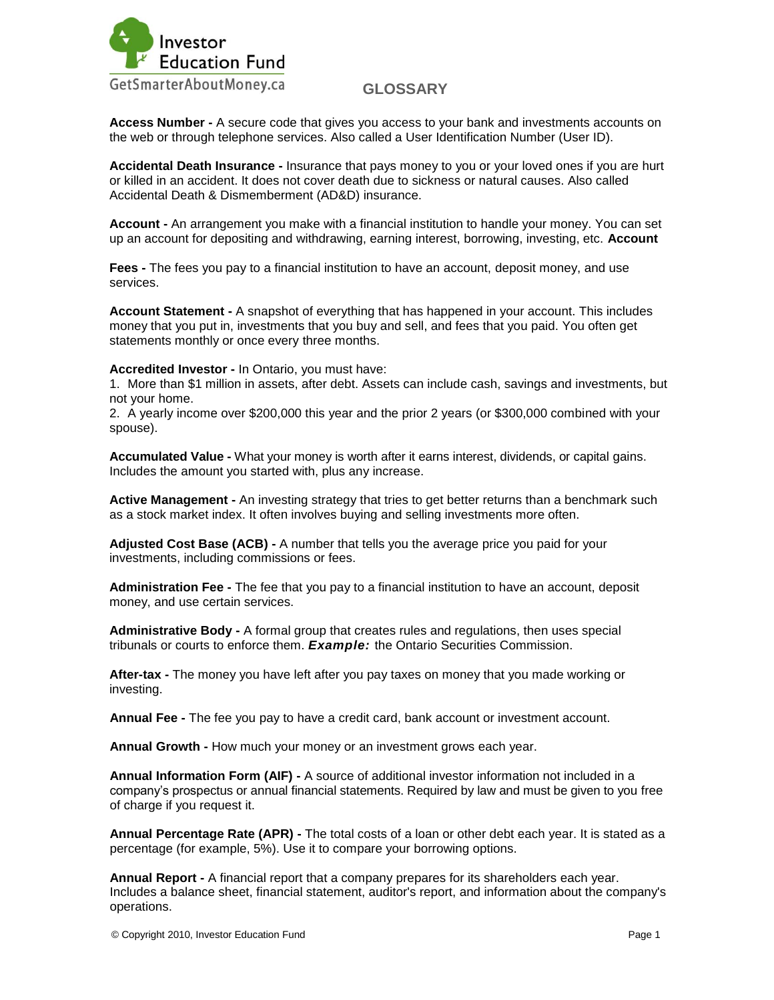

**Access Number -** A secure code that gives you access to your bank and investments accounts on the web or through telephone services. Also called a User Identification Number (User ID).

**Accidental Death Insurance -** Insurance that pays money to you or your loved ones if you are hurt or killed in an accident. It does not cover death due to sickness or natural causes. Also called Accidental Death & Dismemberment (AD&D) insurance.

**Account -** An arrangement you make with a financial institution to handle your money. You can set up an account for depositing and withdrawing, earning interest, borrowing, investing, etc. **Account** 

**Fees -** The fees you pay to a financial institution to have an account, deposit money, and use services.

**Account Statement -** A snapshot of everything that has happened in your account. This includes money that you put in, investments that you buy and sell, and fees that you paid. You often get statements monthly or once every three months.

**Accredited Investor -** In Ontario, you must have:

1. More than \$1 million in assets, after debt. Assets can include cash, savings and investments, but not your home.

2. A yearly income over \$200,000 this year and the prior 2 years (or \$300,000 combined with your spouse).

**Accumulated Value -** What your money is worth after it earns interest, dividends, or capital gains. Includes the amount you started with, plus any increase.

**Active Management -** An investing strategy that tries to get better returns than a benchmark such as a stock market index. It often involves buying and selling investments more often.

**Adjusted Cost Base (ACB) -** A number that tells you the average price you paid for your investments, including commissions or fees.

**Administration Fee -** The fee that you pay to a financial institution to have an account, deposit money, and use certain services.

**Administrative Body -** A formal group that creates rules and regulations, then uses special tribunals or courts to enforce them. *Example:* the Ontario Securities Commission.

**After-tax -** The money you have left after you pay taxes on money that you made working or investing.

**Annual Fee -** The fee you pay to have a credit card, bank account or investment account.

**Annual Growth -** How much your money or an investment grows each year.

**Annual Information Form (AIF) -** A source of additional investor information not included in a company"s prospectus or annual financial statements. Required by law and must be given to you free of charge if you request it.

**Annual Percentage Rate (APR) -** The total costs of a loan or other debt each year. It is stated as a percentage (for example, 5%). Use it to compare your borrowing options.

**Annual Report -** A financial report that a company prepares for its shareholders each year. Includes a balance sheet, financial statement, auditor's report, and information about the company's operations.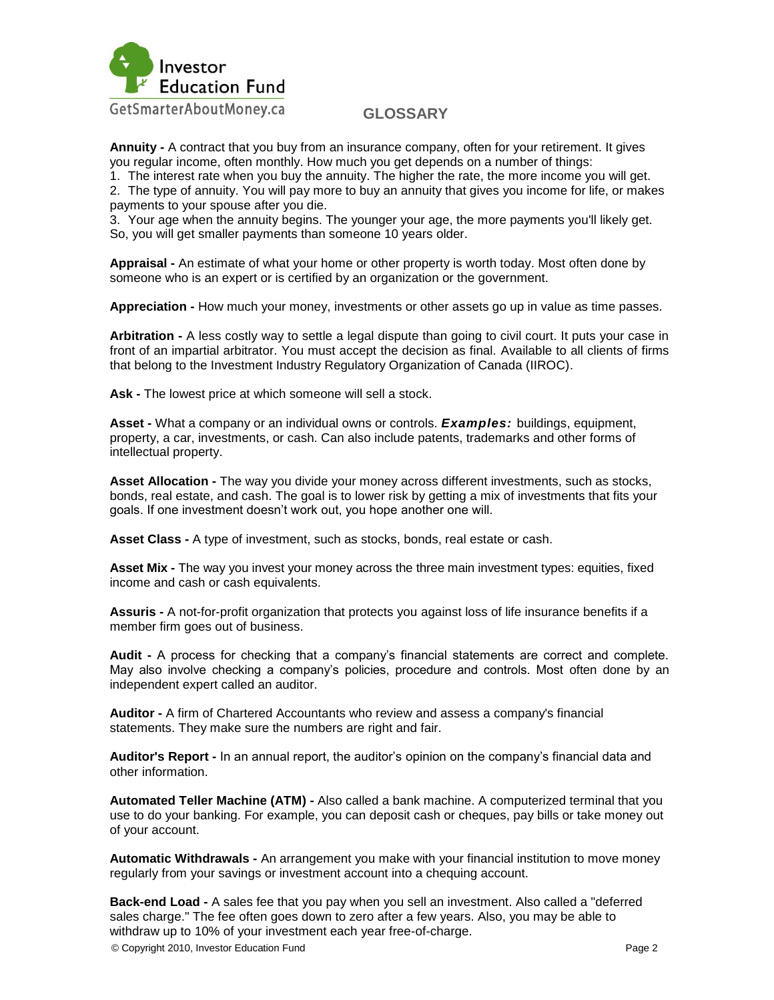

**Annuity -** A contract that you buy from an insurance company, often for your retirement. It gives you regular income, often monthly. How much you get depends on a number of things:

1. The interest rate when you buy the annuity. The higher the rate, the more income you will get.

2. The type of annuity. You will pay more to buy an annuity that gives you income for life, or makes payments to your spouse after you die.

3. Your age when the annuity begins. The younger your age, the more payments you'll likely get. So, you will get smaller payments than someone 10 years older.

**Appraisal -** An estimate of what your home or other property is worth today. Most often done by someone who is an expert or is certified by an organization or the government.

**Appreciation -** How much your money, investments or other assets go up in value as time passes.

**Arbitration -** A less costly way to settle a legal dispute than going to civil court. It puts your case in front of an impartial arbitrator. You must accept the decision as final. Available to all clients of firms that belong to the Investment Industry Regulatory Organization of Canada (IIROC).

**Ask -** The lowest price at which someone will sell a stock.

**Asset -** What a company or an individual owns or controls. *Examples:* buildings, equipment, property, a car, investments, or cash. Can also include patents, trademarks and other forms of intellectual property.

**Asset Allocation -** The way you divide your money across different investments, such as stocks, bonds, real estate, and cash. The goal is to lower risk by getting a mix of investments that fits your goals. If one investment doesn"t work out, you hope another one will.

**Asset Class -** A type of investment, such as stocks, bonds, real estate or cash.

**Asset Mix -** The way you invest your money across the three main investment types: equities, fixed income and cash or cash equivalents.

**Assuris -** A not-for-profit organization that protects you against loss of life insurance benefits if a member firm goes out of business.

**Audit -** A process for checking that a company"s financial statements are correct and complete. May also involve checking a company"s policies, procedure and controls. Most often done by an independent expert called an auditor.

**Auditor -** A firm of Chartered Accountants who review and assess a company's financial statements. They make sure the numbers are right and fair.

**Auditor's Report -** In an annual report, the auditor"s opinion on the company"s financial data and other information.

**Automated Teller Machine (ATM) -** Also called a bank machine. A computerized terminal that you use to do your banking. For example, you can deposit cash or cheques, pay bills or take money out of your account.

**Automatic Withdrawals -** An arrangement you make with your financial institution to move money regularly from your savings or investment account into a chequing account.

**Back-end Load -** A sales fee that you pay when you sell an investment. Also called a "deferred sales charge." The fee often goes down to zero after a few years. Also, you may be able to withdraw up to 10% of your investment each year free-of-charge.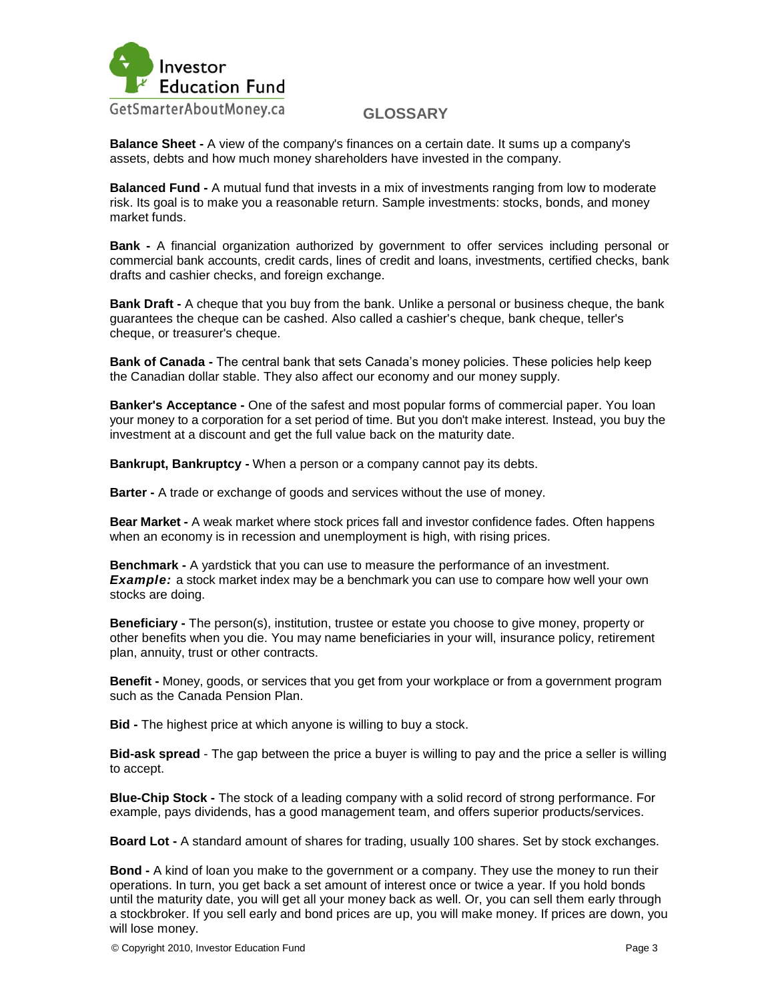

**Balance Sheet -** A view of the company's finances on a certain date. It sums up a company's assets, debts and how much money shareholders have invested in the company.

**Balanced Fund -** A mutual fund that invests in a mix of investments ranging from low to moderate risk. Its goal is to make you a reasonable return. Sample investments: stocks, bonds, and money market funds.

**Bank -** A financial organization authorized by government to offer services including personal or commercial bank accounts, credit cards, lines of credit and loans, investments, certified checks, bank drafts and cashier checks, and foreign exchange.

**Bank Draft -** A cheque that you buy from the bank. Unlike a personal or business cheque, the bank guarantees the cheque can be cashed. Also called a cashier's cheque, bank cheque, teller's cheque, or treasurer's cheque.

**Bank of Canada -** The central bank that sets Canada"s money policies. These policies help keep the Canadian dollar stable. They also affect our economy and our money supply.

**Banker's Acceptance -** One of the safest and most popular forms of commercial paper. You loan your money to a corporation for a set period of time. But you don't make interest. Instead, you buy the investment at a discount and get the full value back on the maturity date.

**Bankrupt, Bankruptcy -** When a person or a company cannot pay its debts.

**Barter -** A trade or exchange of goods and services without the use of money.

**Bear Market -** A weak market where stock prices fall and investor confidence fades. Often happens when an economy is in recession and unemployment is high, with rising prices.

**Benchmark -** A yardstick that you can use to measure the performance of an investment. *Example:* a stock market index may be a benchmark you can use to compare how well your own stocks are doing.

**Beneficiary -** The person(s), institution, trustee or estate you choose to give money, property or other benefits when you die. You may name beneficiaries in your will, insurance policy, retirement plan, annuity, trust or other contracts.

**Benefit -** Money, goods, or services that you get from your workplace or from a government program such as the Canada Pension Plan.

**Bid -** The highest price at which anyone is willing to buy a stock.

**Bid-ask spread** - The gap between the price a buyer is willing to pay and the price a seller is willing to accept.

**Blue-Chip Stock -** The stock of a leading company with a solid record of strong performance. For example, pays dividends, has a good management team, and offers superior products/services.

**Board Lot -** A standard amount of shares for trading, usually 100 shares. Set by stock exchanges.

**Bond -** A kind of loan you make to the government or a company. They use the money to run their operations. In turn, you get back a set amount of interest once or twice a year. If you hold bonds until the maturity date, you will get all your money back as well. Or, you can sell them early through a stockbroker. If you sell early and bond prices are up, you will make money. If prices are down, you will lose money.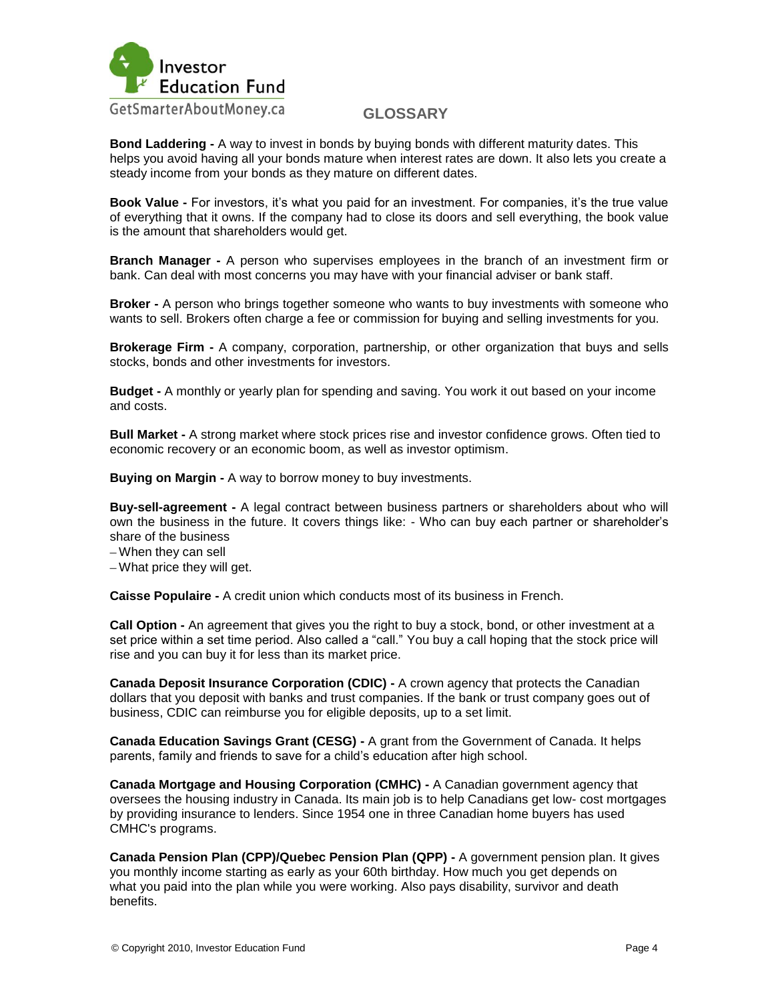

**Bond Laddering -** A way to invest in bonds by buying bonds with different maturity dates. This helps you avoid having all your bonds mature when interest rates are down. It also lets you create a steady income from your bonds as they mature on different dates.

**Book Value -** For investors, it"s what you paid for an investment. For companies, it"s the true value of everything that it owns. If the company had to close its doors and sell everything, the book value is the amount that shareholders would get.

**Branch Manager -** A person who supervises employees in the branch of an investment firm or bank. Can deal with most concerns you may have with your financial adviser or bank staff.

**Broker -** A person who brings together someone who wants to buy investments with someone who wants to sell. Brokers often charge a fee or commission for buying and selling investments for you.

**Brokerage Firm -** A company, corporation, partnership, or other organization that buys and sells stocks, bonds and other investments for investors.

**Budget -** A monthly or yearly plan for spending and saving. You work it out based on your income and costs.

**Bull Market -** A strong market where stock prices rise and investor confidence grows. Often tied to economic recovery or an economic boom, as well as investor optimism.

**Buying on Margin -** A way to borrow money to buy investments.

**Buy-sell-agreement -** A legal contract between business partners or shareholders about who will own the business in the future. It covers things like: - Who can buy each partner or shareholder"s share of the business

When they can sell

What price they will get.

**Caisse Populaire -** A credit union which conducts most of its business in French.

**Call Option -** An agreement that gives you the right to buy a stock, bond, or other investment at a set price within a set time period. Also called a "call." You buy a call hoping that the stock price will rise and you can buy it for less than its market price.

**Canada Deposit Insurance Corporation (CDIC) -** A crown agency that protects the Canadian dollars that you deposit with banks and trust companies. If the bank or trust company goes out of business, CDIC can reimburse you for eligible deposits, up to a set limit.

**Canada Education Savings Grant (CESG) -** A grant from the Government of Canada. It helps parents, family and friends to save for a child"s education after high school.

**Canada Mortgage and Housing Corporation (CMHC) -** A Canadian government agency that oversees the housing industry in Canada. Its main job is to help Canadians get low- cost mortgages by providing insurance to lenders. Since 1954 one in three Canadian home buyers has used CMHC's programs.

**Canada Pension Plan (CPP)/Quebec Pension Plan (QPP) -** A government pension plan. It gives you monthly income starting as early as your 60th birthday. How much you get depends on what you paid into the plan while you were working. Also pays disability, survivor and death benefits.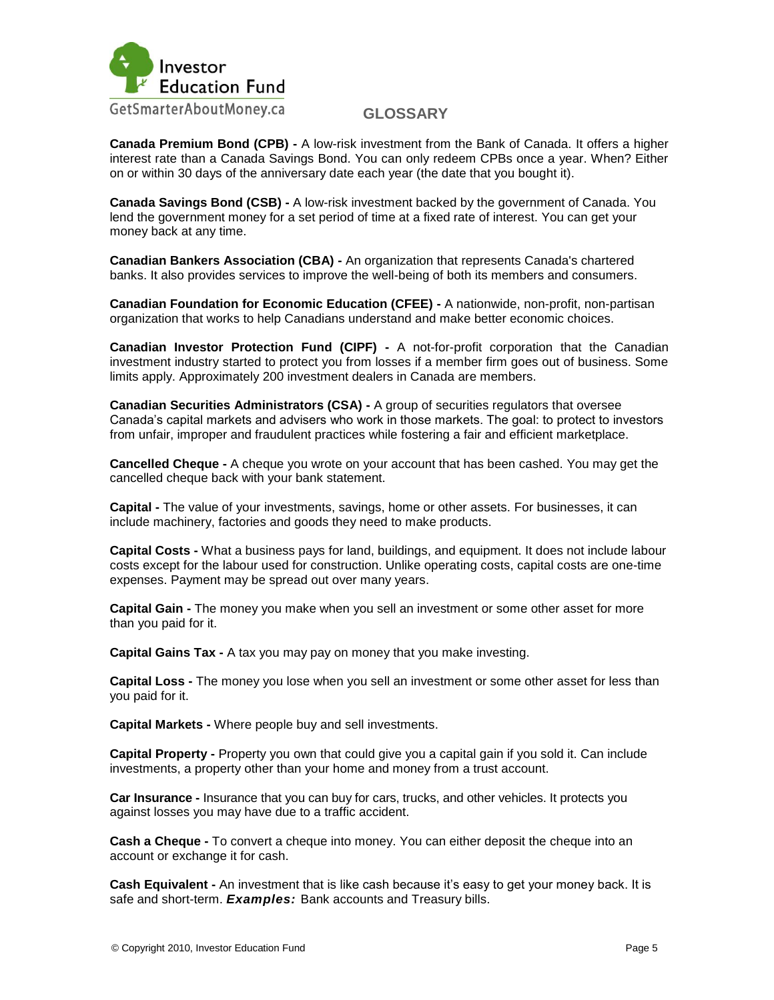

**Canada Premium Bond (CPB) -** A low-risk investment from the Bank of Canada. It offers a higher interest rate than a Canada Savings Bond. You can only redeem CPBs once a year. When? Either on or within 30 days of the anniversary date each year (the date that you bought it).

**Canada Savings Bond (CSB) -** A low-risk investment backed by the government of Canada. You lend the government money for a set period of time at a fixed rate of interest. You can get your money back at any time.

**Canadian Bankers Association (CBA) -** An organization that represents Canada's chartered banks. It also provides services to improve the well-being of both its members and consumers.

**Canadian Foundation for Economic Education (CFEE) -** A nationwide, non-profit, non-partisan organization that works to help Canadians understand and make better economic choices.

**Canadian Investor Protection Fund (CIPF) -** A not-for-profit corporation that the Canadian investment industry started to protect you from losses if a member firm goes out of business. Some limits apply. Approximately 200 investment dealers in Canada are members.

**Canadian Securities Administrators (CSA) -** A group of securities regulators that oversee Canada"s capital markets and advisers who work in those markets. The goal: to protect to investors from unfair, improper and fraudulent practices while fostering a fair and efficient marketplace.

**Cancelled Cheque -** A cheque you wrote on your account that has been cashed. You may get the cancelled cheque back with your bank statement.

**Capital -** The value of your investments, savings, home or other assets. For businesses, it can include machinery, factories and goods they need to make products.

**Capital Costs -** What a business pays for land, buildings, and equipment. It does not include labour costs except for the labour used for construction. Unlike operating costs, capital costs are one-time expenses. Payment may be spread out over many years.

**Capital Gain -** The money you make when you sell an investment or some other asset for more than you paid for it.

**Capital Gains Tax -** A tax you may pay on money that you make investing.

**Capital Loss -** The money you lose when you sell an investment or some other asset for less than you paid for it.

**Capital Markets -** Where people buy and sell investments.

**Capital Property -** Property you own that could give you a capital gain if you sold it. Can include investments, a property other than your home and money from a trust account.

**Car Insurance -** Insurance that you can buy for cars, trucks, and other vehicles. It protects you against losses you may have due to a traffic accident.

**Cash a Cheque -** To convert a cheque into money. You can either deposit the cheque into an account or exchange it for cash.

**Cash Equivalent -** An investment that is like cash because it"s easy to get your money back. It is safe and short-term. *Examples:* Bank accounts and Treasury bills.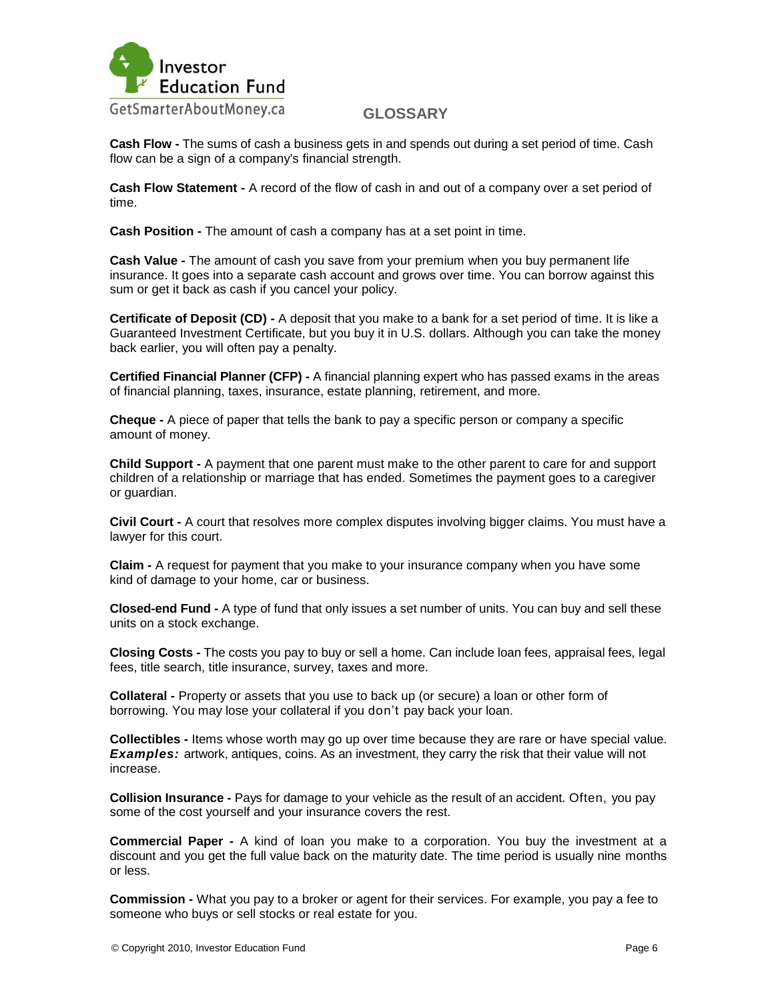

**Cash Flow -** The sums of cash a business gets in and spends out during a set period of time. Cash flow can be a sign of a company's financial strength.

**Cash Flow Statement -** A record of the flow of cash in and out of a company over a set period of time.

**Cash Position -** The amount of cash a company has at a set point in time.

**Cash Value -** The amount of cash you save from your premium when you buy permanent life insurance. It goes into a separate cash account and grows over time. You can borrow against this sum or get it back as cash if you cancel your policy.

**Certificate of Deposit (CD) -** A deposit that you make to a bank for a set period of time. It is like a Guaranteed Investment Certificate, but you buy it in U.S. dollars. Although you can take the money back earlier, you will often pay a penalty.

**Certified Financial Planner (CFP) -** A financial planning expert who has passed exams in the areas of financial planning, taxes, insurance, estate planning, retirement, and more.

**Cheque -** A piece of paper that tells the bank to pay a specific person or company a specific amount of money.

**Child Support -** A payment that one parent must make to the other parent to care for and support children of a relationship or marriage that has ended. Sometimes the payment goes to a caregiver or guardian.

**Civil Court -** A court that resolves more complex disputes involving bigger claims. You must have a lawyer for this court.

**Claim -** A request for payment that you make to your insurance company when you have some kind of damage to your home, car or business.

**Closed-end Fund -** A type of fund that only issues a set number of units. You can buy and sell these units on a stock exchange.

**Closing Costs -** The costs you pay to buy or sell a home. Can include loan fees, appraisal fees, legal fees, title search, title insurance, survey, taxes and more.

**Collateral -** Property or assets that you use to back up (or secure) a loan or other form of borrowing. You may lose your collateral if you don"t pay back your loan.

**Collectibles -** Items whose worth may go up over time because they are rare or have special value. **Examples:** artwork, antiques, coins. As an investment, they carry the risk that their value will not increase.

**Collision Insurance -** Pays for damage to your vehicle as the result of an accident. Often, you pay some of the cost yourself and your insurance covers the rest.

**Commercial Paper -** A kind of loan you make to a corporation. You buy the investment at a discount and you get the full value back on the maturity date. The time period is usually nine months or less.

**Commission -** What you pay to a broker or agent for their services. For example, you pay a fee to someone who buys or sell stocks or real estate for you.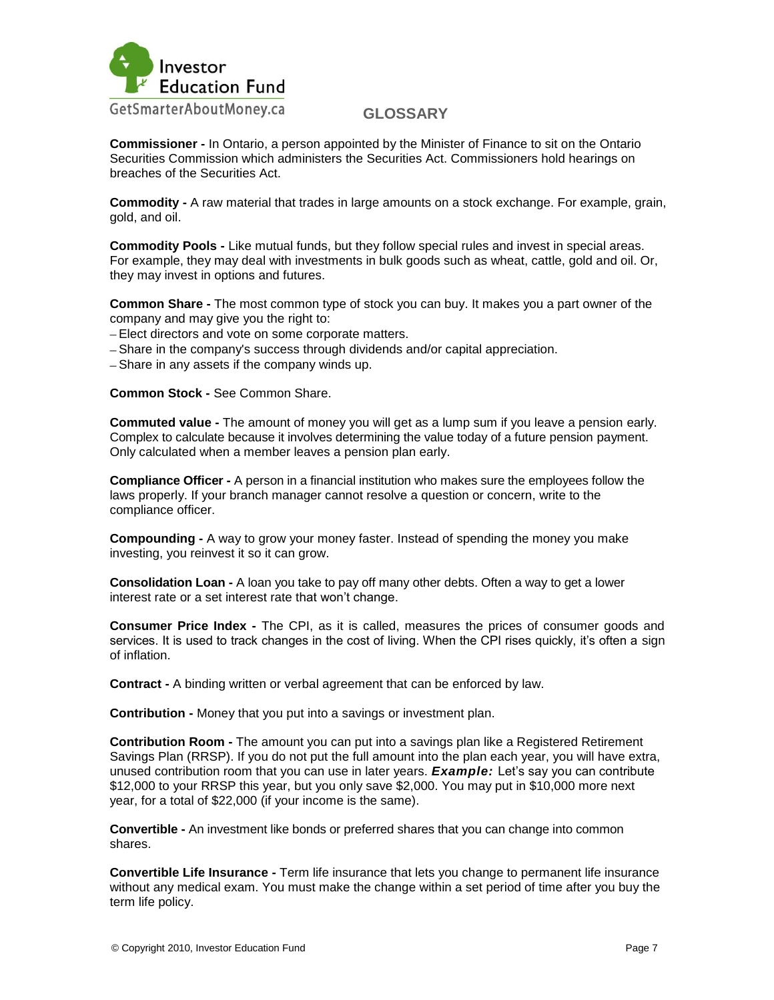

**Commissioner -** In Ontario, a person appointed by the Minister of Finance to sit on the Ontario Securities Commission which administers the Securities Act. Commissioners hold hearings on breaches of the Securities Act.

**Commodity -** A raw material that trades in large amounts on a stock exchange. For example, grain, gold, and oil.

**Commodity Pools -** Like mutual funds, but they follow special rules and invest in special areas. For example, they may deal with investments in bulk goods such as wheat, cattle, gold and oil. Or, they may invest in options and futures.

**Common Share -** The most common type of stock you can buy. It makes you a part owner of the company and may give you the right to:

- Elect directors and vote on some corporate matters.
- Share in the company's success through dividends and/or capital appreciation.

- Share in any assets if the company winds up.

**Common Stock -** See Common Share.

**Commuted value -** The amount of money you will get as a lump sum if you leave a pension early. Complex to calculate because it involves determining the value today of a future pension payment. Only calculated when a member leaves a pension plan early.

**Compliance Officer -** A person in a financial institution who makes sure the employees follow the laws properly. If your branch manager cannot resolve a question or concern, write to the compliance officer.

**Compounding -** A way to grow your money faster. Instead of spending the money you make investing, you reinvest it so it can grow.

**Consolidation Loan -** A loan you take to pay off many other debts. Often a way to get a lower interest rate or a set interest rate that won"t change.

**Consumer Price Index -** The CPI, as it is called, measures the prices of consumer goods and services. It is used to track changes in the cost of living. When the CPI rises quickly, it's often a sign of inflation.

**Contract -** A binding written or verbal agreement that can be enforced by law.

**Contribution -** Money that you put into a savings or investment plan.

**Contribution Room -** The amount you can put into a savings plan like a Registered Retirement Savings Plan (RRSP). If you do not put the full amount into the plan each year, you will have extra, unused contribution room that you can use in later years. *Example:* Let"s say you can contribute \$12,000 to your RRSP this year, but you only save \$2,000. You may put in \$10,000 more next year, for a total of \$22,000 (if your income is the same).

**Convertible -** An investment like bonds or preferred shares that you can change into common shares.

**Convertible Life Insurance -** Term life insurance that lets you change to permanent life insurance without any medical exam. You must make the change within a set period of time after you buy the term life policy.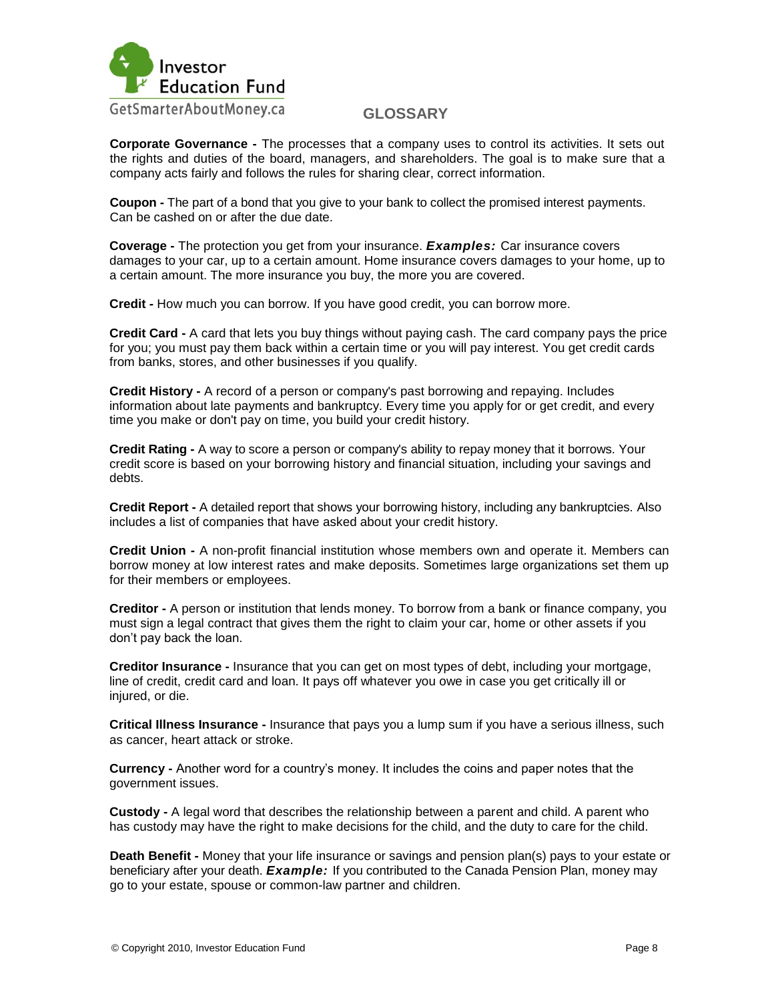

**Corporate Governance -** The processes that a company uses to control its activities. It sets out the rights and duties of the board, managers, and shareholders. The goal is to make sure that a company acts fairly and follows the rules for sharing clear, correct information.

**Coupon -** The part of a bond that you give to your bank to collect the promised interest payments. Can be cashed on or after the due date.

**Coverage -** The protection you get from your insurance. *Examples:* Car insurance covers damages to your car, up to a certain amount. Home insurance covers damages to your home, up to a certain amount. The more insurance you buy, the more you are covered.

**Credit -** How much you can borrow. If you have good credit, you can borrow more.

**Credit Card -** A card that lets you buy things without paying cash. The card company pays the price for you; you must pay them back within a certain time or you will pay interest. You get credit cards from banks, stores, and other businesses if you qualify.

**Credit History -** A record of a person or company's past borrowing and repaying. Includes information about late payments and bankruptcy. Every time you apply for or get credit, and every time you make or don't pay on time, you build your credit history.

**Credit Rating -** A way to score a person or company's ability to repay money that it borrows. Your credit score is based on your borrowing history and financial situation, including your savings and debts.

**Credit Report -** A detailed report that shows your borrowing history, including any bankruptcies. Also includes a list of companies that have asked about your credit history.

**Credit Union -** A non-profit financial institution whose members own and operate it. Members can borrow money at low interest rates and make deposits. Sometimes large organizations set them up for their members or employees.

**Creditor -** A person or institution that lends money. To borrow from a bank or finance company, you must sign a legal contract that gives them the right to claim your car, home or other assets if you don"t pay back the loan.

**Creditor Insurance -** Insurance that you can get on most types of debt, including your mortgage, line of credit, credit card and loan. It pays off whatever you owe in case you get critically ill or injured, or die.

**Critical Illness Insurance -** Insurance that pays you a lump sum if you have a serious illness, such as cancer, heart attack or stroke.

**Currency -** Another word for a country"s money. It includes the coins and paper notes that the government issues.

**Custody -** A legal word that describes the relationship between a parent and child. A parent who has custody may have the right to make decisions for the child, and the duty to care for the child.

**Death Benefit -** Money that your life insurance or savings and pension plan(s) pays to your estate or beneficiary after your death. *Example:* If you contributed to the Canada Pension Plan, money may go to your estate, spouse or common-law partner and children.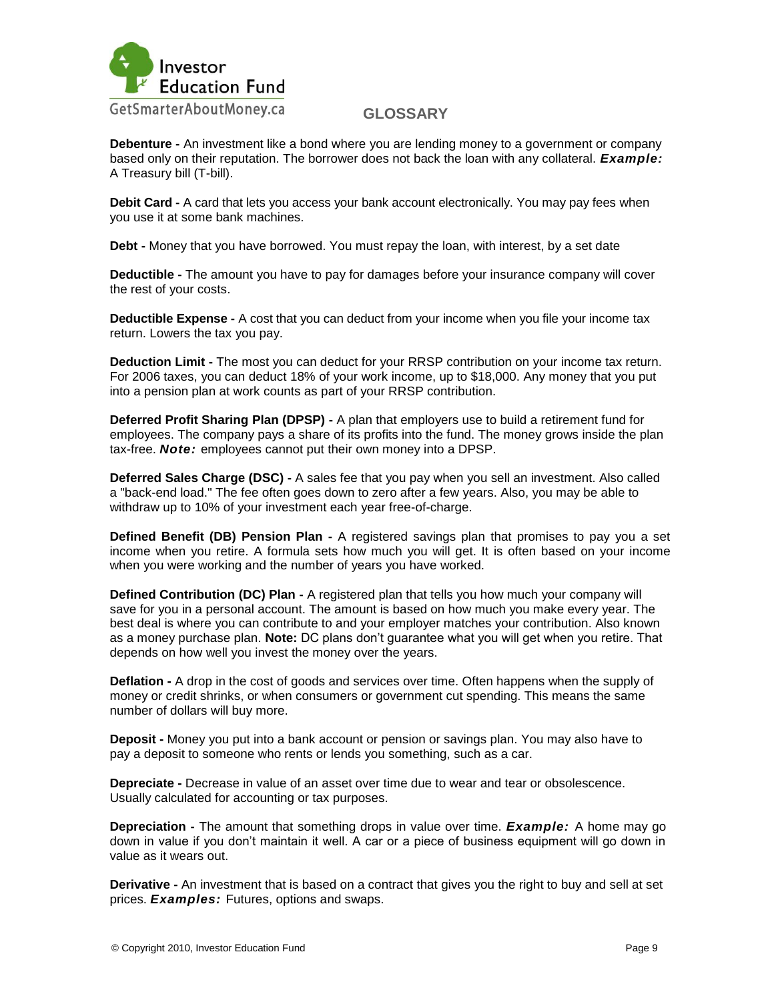

**Debenture -** An investment like a bond where you are lending money to a government or company based only on their reputation. The borrower does not back the loan with any collateral. *Example:*  A Treasury bill (T-bill).

**Debit Card -** A card that lets you access your bank account electronically. You may pay fees when you use it at some bank machines.

**Debt -** Money that you have borrowed. You must repay the loan, with interest, by a set date

**Deductible -** The amount you have to pay for damages before your insurance company will cover the rest of your costs.

**Deductible Expense -** A cost that you can deduct from your income when you file your income tax return. Lowers the tax you pay.

**Deduction Limit -** The most you can deduct for your RRSP contribution on your income tax return. For 2006 taxes, you can deduct 18% of your work income, up to \$18,000. Any money that you put into a pension plan at work counts as part of your RRSP contribution.

**Deferred Profit Sharing Plan (DPSP) -** A plan that employers use to build a retirement fund for employees. The company pays a share of its profits into the fund. The money grows inside the plan tax-free. *Note:* employees cannot put their own money into a DPSP.

**Deferred Sales Charge (DSC) -** A sales fee that you pay when you sell an investment. Also called a "back-end load." The fee often goes down to zero after a few years. Also, you may be able to withdraw up to 10% of your investment each year free-of-charge.

**Defined Benefit (DB) Pension Plan -** A registered savings plan that promises to pay you a set income when you retire. A formula sets how much you will get. It is often based on your income when you were working and the number of years you have worked.

**Defined Contribution (DC) Plan -** A registered plan that tells you how much your company will save for you in a personal account. The amount is based on how much you make every year. The best deal is where you can contribute to and your employer matches your contribution. Also known as a money purchase plan. **Note:** DC plans don"t guarantee what you will get when you retire. That depends on how well you invest the money over the years.

**Deflation -** A drop in the cost of goods and services over time. Often happens when the supply of money or credit shrinks, or when consumers or government cut spending. This means the same number of dollars will buy more.

**Deposit -** Money you put into a bank account or pension or savings plan. You may also have to pay a deposit to someone who rents or lends you something, such as a car.

**Depreciate -** Decrease in value of an asset over time due to wear and tear or obsolescence. Usually calculated for accounting or tax purposes.

**Depreciation -** The amount that something drops in value over time. *Example:* A home may go down in value if you don"t maintain it well. A car or a piece of business equipment will go down in value as it wears out.

**Derivative -** An investment that is based on a contract that gives you the right to buy and sell at set prices. *Examples:* Futures, options and swaps.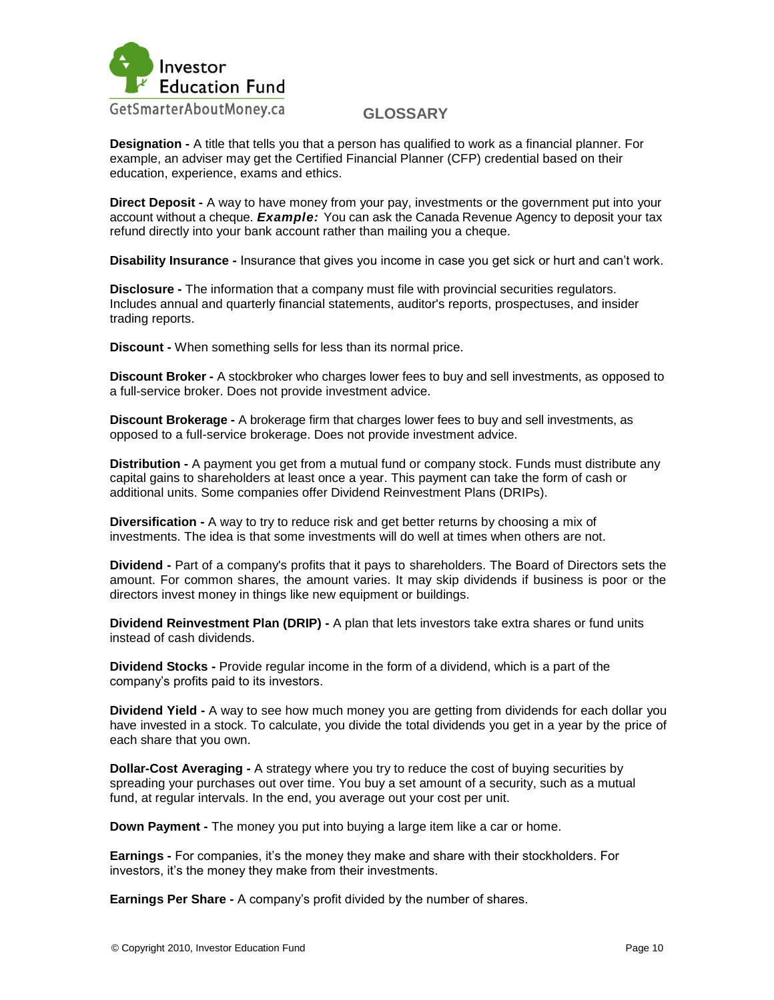

**Designation -** A title that tells you that a person has qualified to work as a financial planner. For example, an adviser may get the Certified Financial Planner (CFP) credential based on their education, experience, exams and ethics.

**Direct Deposit -** A way to have money from your pay, investments or the government put into your account without a cheque. *Example:* You can ask the Canada Revenue Agency to deposit your tax refund directly into your bank account rather than mailing you a cheque.

**Disability Insurance -** Insurance that gives you income in case you get sick or hurt and can"t work.

**Disclosure -** The information that a company must file with provincial securities regulators. Includes annual and quarterly financial statements, auditor's reports, prospectuses, and insider trading reports.

**Discount -** When something sells for less than its normal price.

**Discount Broker -** A stockbroker who charges lower fees to buy and sell investments, as opposed to a full-service broker. Does not provide investment advice.

**Discount Brokerage -** A brokerage firm that charges lower fees to buy and sell investments, as opposed to a full-service brokerage. Does not provide investment advice.

**Distribution -** A payment you get from a mutual fund or company stock. Funds must distribute any capital gains to shareholders at least once a year. This payment can take the form of cash or additional units. Some companies offer Dividend Reinvestment Plans (DRIPs).

**Diversification -** A way to try to reduce risk and get better returns by choosing a mix of investments. The idea is that some investments will do well at times when others are not.

**Dividend -** Part of a company's profits that it pays to shareholders. The Board of Directors sets the amount. For common shares, the amount varies. It may skip dividends if business is poor or the directors invest money in things like new equipment or buildings.

**Dividend Reinvestment Plan (DRIP) -** A plan that lets investors take extra shares or fund units instead of cash dividends.

**Dividend Stocks -** Provide regular income in the form of a dividend, which is a part of the company"s profits paid to its investors.

**Dividend Yield -** A way to see how much money you are getting from dividends for each dollar you have invested in a stock. To calculate, you divide the total dividends you get in a year by the price of each share that you own.

**Dollar-Cost Averaging -** A strategy where you try to reduce the cost of buying securities by spreading your purchases out over time. You buy a set amount of a security, such as a mutual fund, at regular intervals. In the end, you average out your cost per unit.

**Down Payment -** The money you put into buying a large item like a car or home.

**Earnings -** For companies, it's the money they make and share with their stockholders. For investors, it's the money they make from their investments.

**Earnings Per Share -** A company"s profit divided by the number of shares.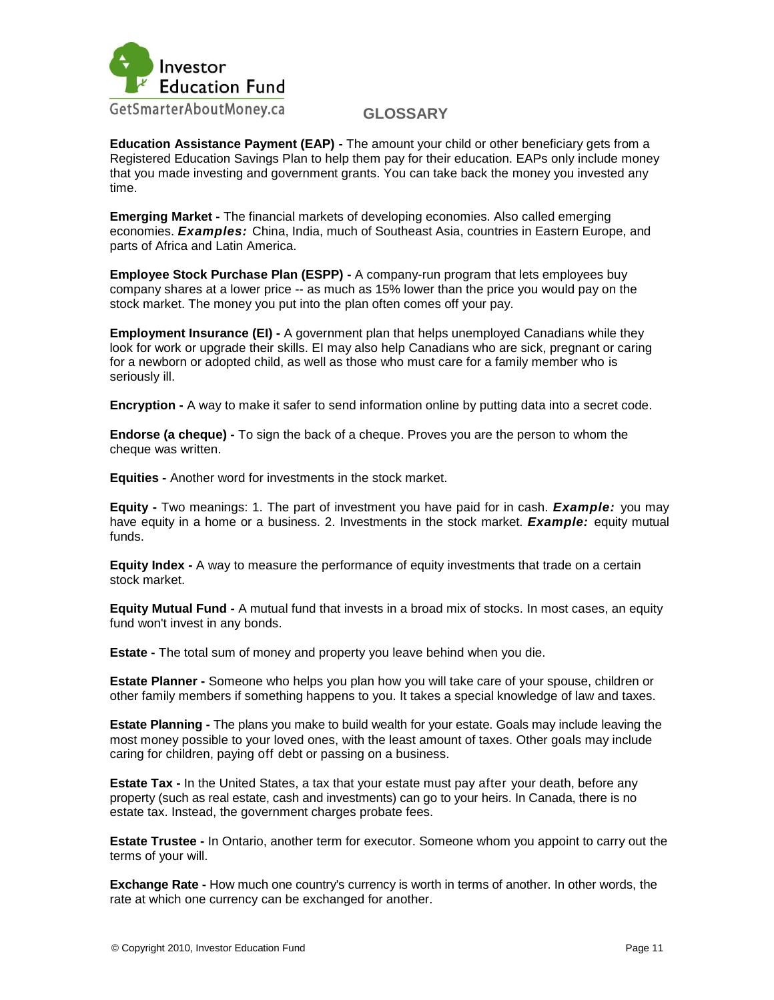

**Education Assistance Payment (EAP) -** The amount your child or other beneficiary gets from a Registered Education Savings Plan to help them pay for their education. EAPs only include money that you made investing and government grants. You can take back the money you invested any time.

**Emerging Market -** The financial markets of developing economies. Also called emerging economies. *Examples:* China, India, much of Southeast Asia, countries in Eastern Europe, and parts of Africa and Latin America.

**Employee Stock Purchase Plan (ESPP) -** A company-run program that lets employees buy company shares at a lower price -- as much as 15% lower than the price you would pay on the stock market. The money you put into the plan often comes off your pay.

**Employment Insurance (EI) -** A government plan that helps unemployed Canadians while they look for work or upgrade their skills. EI may also help Canadians who are sick, pregnant or caring for a newborn or adopted child, as well as those who must care for a family member who is seriously ill.

**Encryption -** A way to make it safer to send information online by putting data into a secret code.

**Endorse (a cheque) -** To sign the back of a cheque. Proves you are the person to whom the cheque was written.

**Equities -** Another word for investments in the stock market.

**Equity -** Two meanings: 1. The part of investment you have paid for in cash. *Example:* you may have equity in a home or a business. 2. Investments in the stock market. *Example:* equity mutual funds.

**Equity Index -** A way to measure the performance of equity investments that trade on a certain stock market.

**Equity Mutual Fund -** A mutual fund that invests in a broad mix of stocks. In most cases, an equity fund won't invest in any bonds.

**Estate -** The total sum of money and property you leave behind when you die.

**Estate Planner -** Someone who helps you plan how you will take care of your spouse, children or other family members if something happens to you. It takes a special knowledge of law and taxes.

**Estate Planning -** The plans you make to build wealth for your estate. Goals may include leaving the most money possible to your loved ones, with the least amount of taxes. Other goals may include caring for children, paying off debt or passing on a business.

**Estate Tax -** In the United States, a tax that your estate must pay after your death, before any property (such as real estate, cash and investments) can go to your heirs. In Canada, there is no estate tax. Instead, the government charges probate fees.

**Estate Trustee -** In Ontario, another term for executor. Someone whom you appoint to carry out the terms of your will.

**Exchange Rate -** How much one country's currency is worth in terms of another. In other words, the rate at which one currency can be exchanged for another.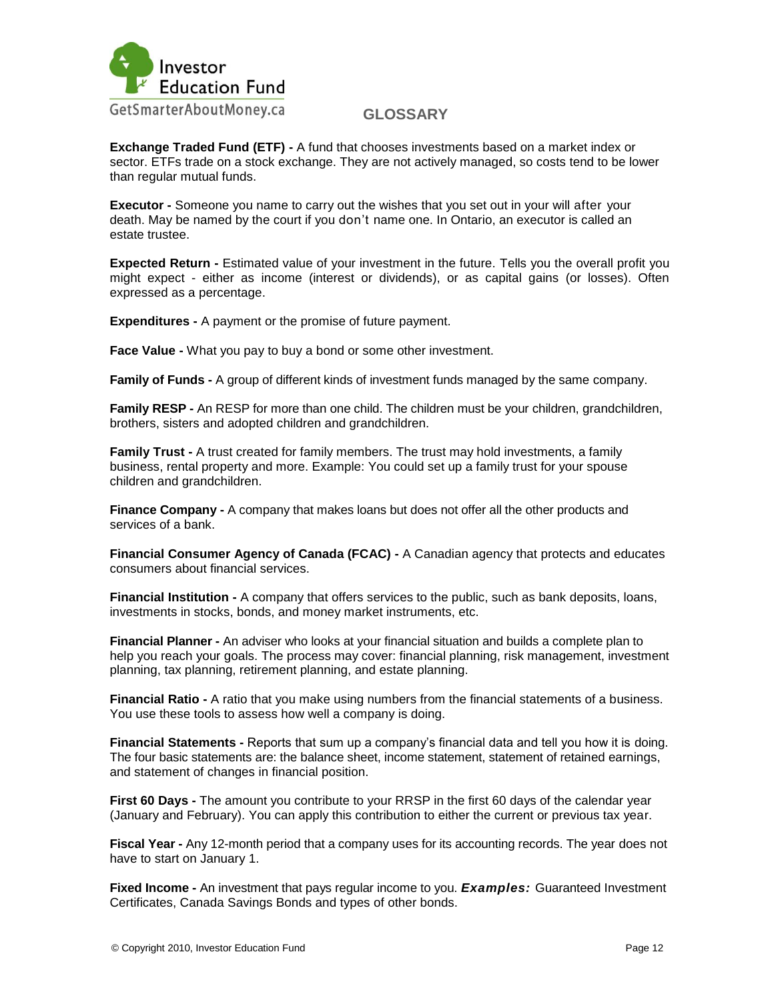

**Exchange Traded Fund (ETF) -** A fund that chooses investments based on a market index or sector. ETFs trade on a stock exchange. They are not actively managed, so costs tend to be lower than regular mutual funds.

**Executor -** Someone you name to carry out the wishes that you set out in your will after your death. May be named by the court if you don"t name one. In Ontario, an executor is called an estate trustee.

**Expected Return -** Estimated value of your investment in the future. Tells you the overall profit you might expect - either as income (interest or dividends), or as capital gains (or losses). Often expressed as a percentage.

**Expenditures -** A payment or the promise of future payment.

**Face Value -** What you pay to buy a bond or some other investment.

**Family of Funds -** A group of different kinds of investment funds managed by the same company.

**Family RESP -** An RESP for more than one child. The children must be your children, grandchildren, brothers, sisters and adopted children and grandchildren.

**Family Trust -** A trust created for family members. The trust may hold investments, a family business, rental property and more. Example: You could set up a family trust for your spouse children and grandchildren.

**Finance Company -** A company that makes loans but does not offer all the other products and services of a bank.

**Financial Consumer Agency of Canada (FCAC) -** A Canadian agency that protects and educates consumers about financial services.

**Financial Institution -** A company that offers services to the public, such as bank deposits, loans, investments in stocks, bonds, and money market instruments, etc.

**Financial Planner -** An adviser who looks at your financial situation and builds a complete plan to help you reach your goals. The process may cover: financial planning, risk management, investment planning, tax planning, retirement planning, and estate planning.

**Financial Ratio -** A ratio that you make using numbers from the financial statements of a business. You use these tools to assess how well a company is doing.

**Financial Statements -** Reports that sum up a company"s financial data and tell you how it is doing. The four basic statements are: the balance sheet, income statement, statement of retained earnings, and statement of changes in financial position.

**First 60 Days -** The amount you contribute to your RRSP in the first 60 days of the calendar year (January and February). You can apply this contribution to either the current or previous tax year.

**Fiscal Year -** Any 12-month period that a company uses for its accounting records. The year does not have to start on January 1.

**Fixed Income -** An investment that pays regular income to you. *Examples:* Guaranteed Investment Certificates, Canada Savings Bonds and types of other bonds.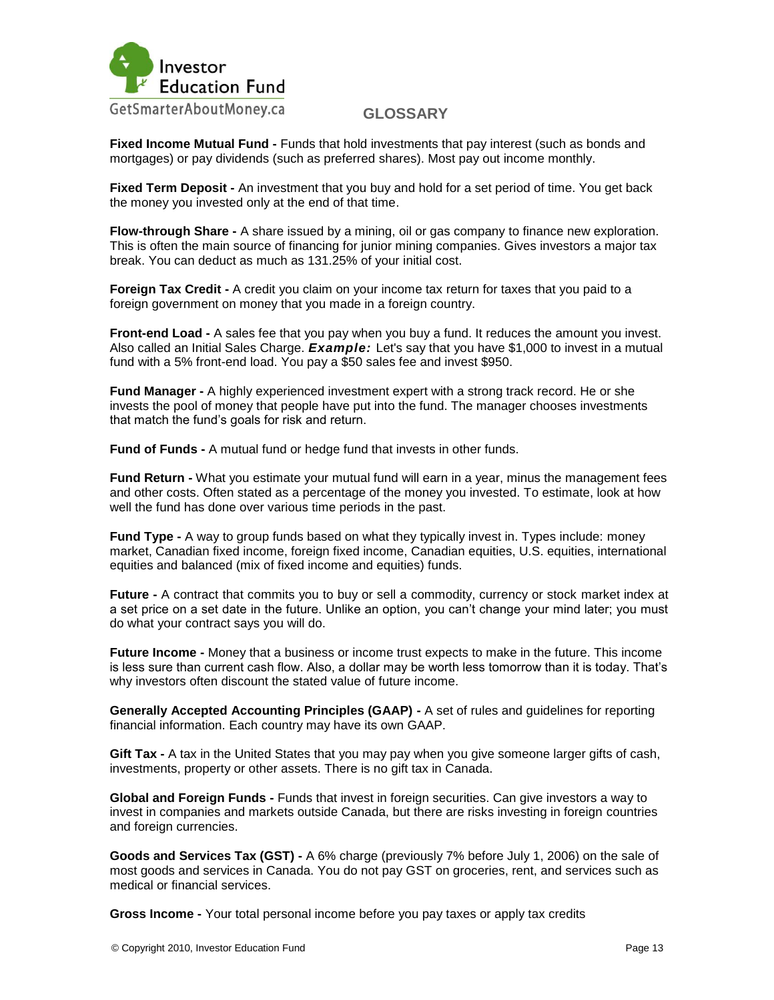

**Fixed Income Mutual Fund -** Funds that hold investments that pay interest (such as bonds and mortgages) or pay dividends (such as preferred shares). Most pay out income monthly.

**Fixed Term Deposit -** An investment that you buy and hold for a set period of time. You get back the money you invested only at the end of that time.

**Flow-through Share -** A share issued by a mining, oil or gas company to finance new exploration. This is often the main source of financing for junior mining companies. Gives investors a major tax break. You can deduct as much as 131.25% of your initial cost.

**Foreign Tax Credit -** A credit you claim on your income tax return for taxes that you paid to a foreign government on money that you made in a foreign country.

**Front-end Load -** A sales fee that you pay when you buy a fund. It reduces the amount you invest. Also called an Initial Sales Charge. *Example:* Let's say that you have \$1,000 to invest in a mutual fund with a 5% front-end load. You pay a \$50 sales fee and invest \$950.

**Fund Manager -** A highly experienced investment expert with a strong track record. He or she invests the pool of money that people have put into the fund. The manager chooses investments that match the fund"s goals for risk and return.

**Fund of Funds -** A mutual fund or hedge fund that invests in other funds.

**Fund Return -** What you estimate your mutual fund will earn in a year, minus the management fees and other costs. Often stated as a percentage of the money you invested. To estimate, look at how well the fund has done over various time periods in the past.

**Fund Type -** A way to group funds based on what they typically invest in. Types include: money market, Canadian fixed income, foreign fixed income, Canadian equities, U.S. equities, international equities and balanced (mix of fixed income and equities) funds.

**Future -** A contract that commits you to buy or sell a commodity, currency or stock market index at a set price on a set date in the future. Unlike an option, you can"t change your mind later; you must do what your contract says you will do.

**Future Income -** Money that a business or income trust expects to make in the future. This income is less sure than current cash flow. Also, a dollar may be worth less tomorrow than it is today. That"s why investors often discount the stated value of future income.

**Generally Accepted Accounting Principles (GAAP) -** A set of rules and guidelines for reporting financial information. Each country may have its own GAAP.

**Gift Tax -** A tax in the United States that you may pay when you give someone larger gifts of cash, investments, property or other assets. There is no gift tax in Canada.

**Global and Foreign Funds -** Funds that invest in foreign securities. Can give investors a way to invest in companies and markets outside Canada, but there are risks investing in foreign countries and foreign currencies.

**Goods and Services Tax (GST) -** A 6% charge (previously 7% before July 1, 2006) on the sale of most goods and services in Canada. You do not pay GST on groceries, rent, and services such as medical or financial services.

**Gross Income -** Your total personal income before you pay taxes or apply tax credits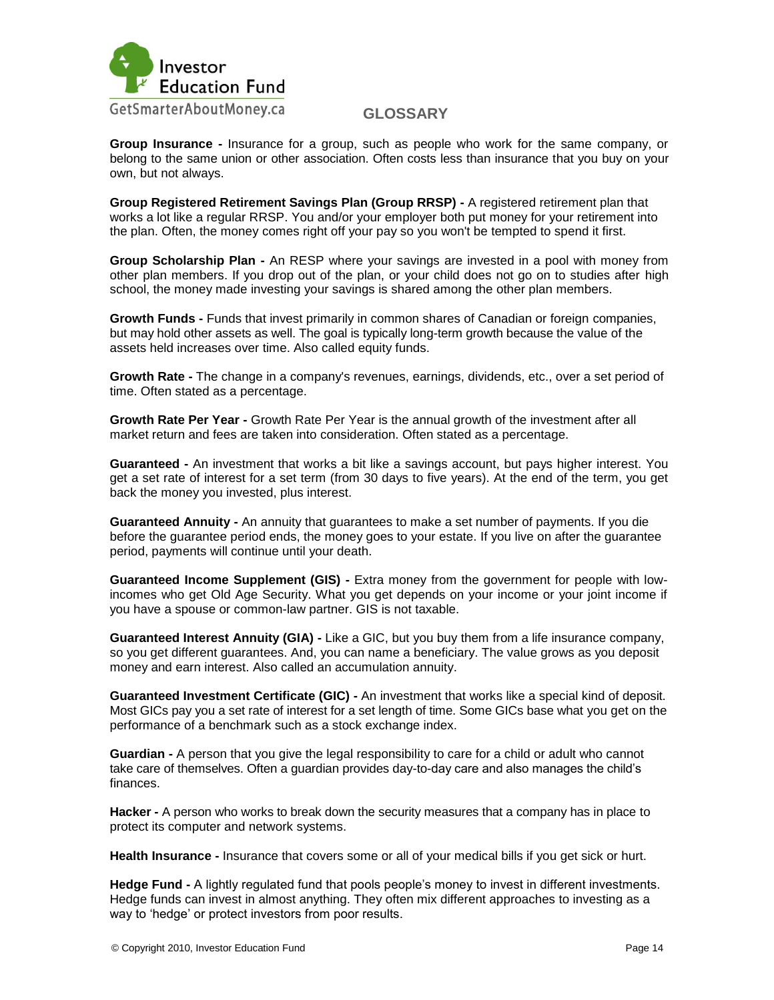

**Group Insurance -** Insurance for a group, such as people who work for the same company, or belong to the same union or other association. Often costs less than insurance that you buy on your own, but not always.

**Group Registered Retirement Savings Plan (Group RRSP) -** A registered retirement plan that works a lot like a regular RRSP. You and/or your employer both put money for your retirement into the plan. Often, the money comes right off your pay so you won't be tempted to spend it first.

**Group Scholarship Plan -** An RESP where your savings are invested in a pool with money from other plan members. If you drop out of the plan, or your child does not go on to studies after high school, the money made investing your savings is shared among the other plan members.

**Growth Funds -** Funds that invest primarily in common shares of Canadian or foreign companies, but may hold other assets as well. The goal is typically long-term growth because the value of the assets held increases over time. Also called equity funds.

**Growth Rate -** The change in a company's revenues, earnings, dividends, etc., over a set period of time. Often stated as a percentage.

**Growth Rate Per Year -** Growth Rate Per Year is the annual growth of the investment after all market return and fees are taken into consideration. Often stated as a percentage.

**Guaranteed -** An investment that works a bit like a savings account, but pays higher interest. You get a set rate of interest for a set term (from 30 days to five years). At the end of the term, you get back the money you invested, plus interest.

**Guaranteed Annuity -** An annuity that guarantees to make a set number of payments. If you die before the guarantee period ends, the money goes to your estate. If you live on after the guarantee period, payments will continue until your death.

**Guaranteed Income Supplement (GIS) -** Extra money from the government for people with lowincomes who get Old Age Security. What you get depends on your income or your joint income if you have a spouse or common-law partner. GIS is not taxable.

**Guaranteed Interest Annuity (GIA) -** Like a GIC, but you buy them from a life insurance company, so you get different guarantees. And, you can name a beneficiary. The value grows as you deposit money and earn interest. Also called an accumulation annuity.

**Guaranteed Investment Certificate (GIC) -** An investment that works like a special kind of deposit. Most GICs pay you a set rate of interest for a set length of time. Some GICs base what you get on the performance of a benchmark such as a stock exchange index.

**Guardian -** A person that you give the legal responsibility to care for a child or adult who cannot take care of themselves. Often a guardian provides day-to-day care and also manages the child"s finances.

**Hacker -** A person who works to break down the security measures that a company has in place to protect its computer and network systems.

**Health Insurance -** Insurance that covers some or all of your medical bills if you get sick or hurt.

**Hedge Fund -** A lightly regulated fund that pools people"s money to invest in different investments. Hedge funds can invest in almost anything. They often mix different approaches to investing as a way to 'hedge' or protect investors from poor results.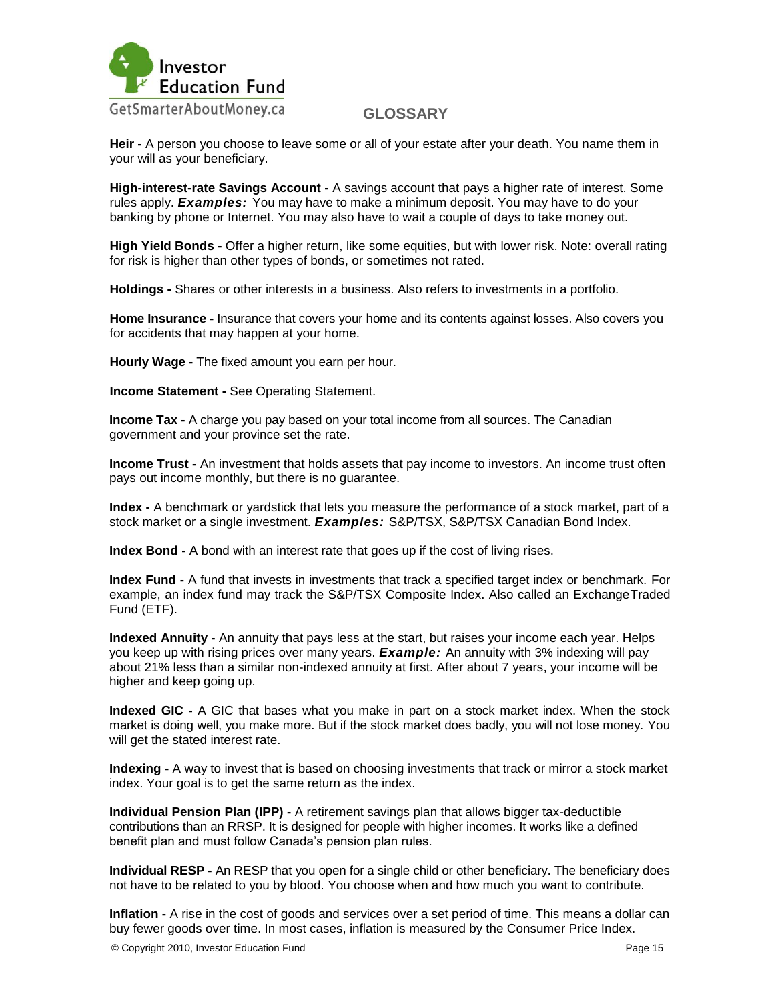

**Heir -** A person you choose to leave some or all of your estate after your death. You name them in your will as your beneficiary.

**High-interest-rate Savings Account -** A savings account that pays a higher rate of interest. Some rules apply. *Examples:* You may have to make a minimum deposit. You may have to do your banking by phone or Internet. You may also have to wait a couple of days to take money out.

**High Yield Bonds -** Offer a higher return, like some equities, but with lower risk. Note: overall rating for risk is higher than other types of bonds, or sometimes not rated.

**Holdings -** Shares or other interests in a business. Also refers to investments in a portfolio.

**Home Insurance -** Insurance that covers your home and its contents against losses. Also covers you for accidents that may happen at your home.

**Hourly Wage -** The fixed amount you earn per hour.

**Income Statement -** See Operating Statement.

**Income Tax -** A charge you pay based on your total income from all sources. The Canadian government and your province set the rate.

**Income Trust -** An investment that holds assets that pay income to investors. An income trust often pays out income monthly, but there is no guarantee.

**Index -** A benchmark or yardstick that lets you measure the performance of a stock market, part of a stock market or a single investment. *Examples:* S&P/TSX, S&P/TSX Canadian Bond Index.

**Index Bond -** A bond with an interest rate that goes up if the cost of living rises.

**Index Fund -** A fund that invests in investments that track a specified target index or benchmark. For example, an index fund may track the S&P/TSX Composite Index. Also called an ExchangeTraded Fund (ETF).

**Indexed Annuity -** An annuity that pays less at the start, but raises your income each year. Helps you keep up with rising prices over many years. *Example:* An annuity with 3% indexing will pay about 21% less than a similar non-indexed annuity at first. After about 7 years, your income will be higher and keep going up.

**Indexed GIC -** A GIC that bases what you make in part on a stock market index. When the stock market is doing well, you make more. But if the stock market does badly, you will not lose money. You will get the stated interest rate.

**Indexing -** A way to invest that is based on choosing investments that track or mirror a stock market index. Your goal is to get the same return as the index.

**Individual Pension Plan (IPP) -** A retirement savings plan that allows bigger tax-deductible contributions than an RRSP. It is designed for people with higher incomes. It works like a defined benefit plan and must follow Canada"s pension plan rules.

**Individual RESP -** An RESP that you open for a single child or other beneficiary. The beneficiary does not have to be related to you by blood. You choose when and how much you want to contribute.

**Inflation -** A rise in the cost of goods and services over a set period of time. This means a dollar can buy fewer goods over time. In most cases, inflation is measured by the Consumer Price Index.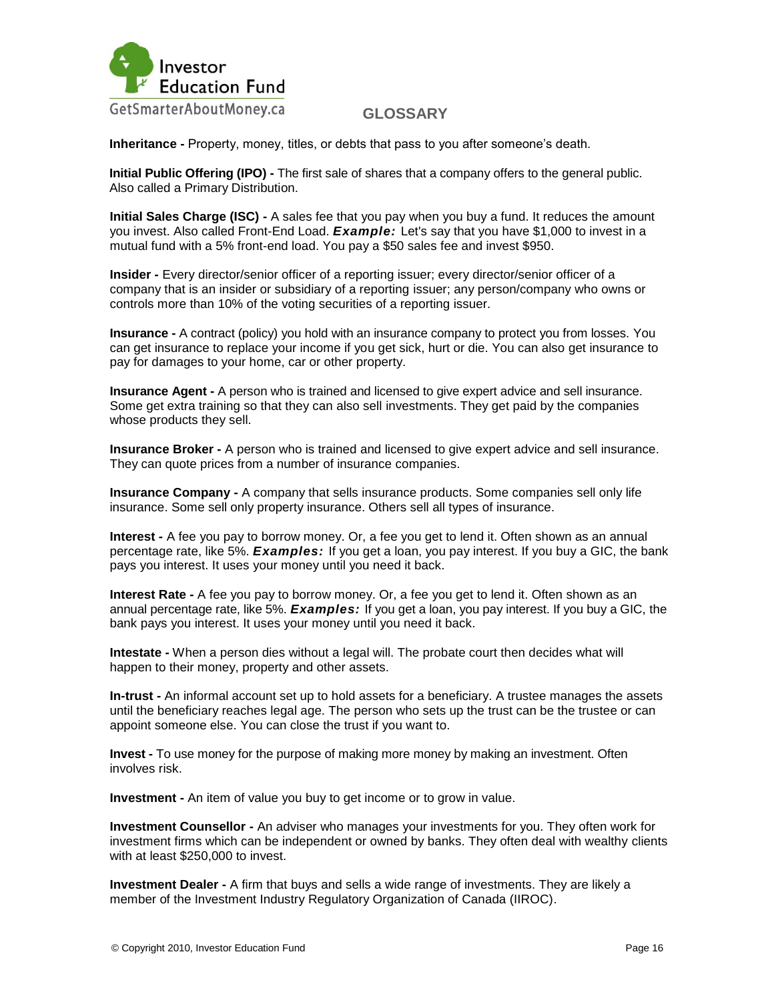

**Inheritance -** Property, money, titles, or debts that pass to you after someone"s death.

**Initial Public Offering (IPO) -** The first sale of shares that a company offers to the general public. Also called a Primary Distribution.

**Initial Sales Charge (ISC) -** A sales fee that you pay when you buy a fund. It reduces the amount you invest. Also called Front-End Load. *Example:* Let's say that you have \$1,000 to invest in a mutual fund with a 5% front-end load. You pay a \$50 sales fee and invest \$950.

**Insider -** Every director/senior officer of a reporting issuer; every director/senior officer of a company that is an insider or subsidiary of a reporting issuer; any person/company who owns or controls more than 10% of the voting securities of a reporting issuer.

**Insurance -** A contract (policy) you hold with an insurance company to protect you from losses. You can get insurance to replace your income if you get sick, hurt or die. You can also get insurance to pay for damages to your home, car or other property.

**Insurance Agent -** A person who is trained and licensed to give expert advice and sell insurance. Some get extra training so that they can also sell investments. They get paid by the companies whose products they sell.

**Insurance Broker -** A person who is trained and licensed to give expert advice and sell insurance. They can quote prices from a number of insurance companies.

**Insurance Company -** A company that sells insurance products. Some companies sell only life insurance. Some sell only property insurance. Others sell all types of insurance.

**Interest -** A fee you pay to borrow money. Or, a fee you get to lend it. Often shown as an annual percentage rate, like 5%. *Examples:* If you get a loan, you pay interest. If you buy a GIC, the bank pays you interest. It uses your money until you need it back.

**Interest Rate -** A fee you pay to borrow money. Or, a fee you get to lend it. Often shown as an annual percentage rate, like 5%. *Examples:* If you get a loan, you pay interest. If you buy a GIC, the bank pays you interest. It uses your money until you need it back.

**Intestate -** When a person dies without a legal will. The probate court then decides what will happen to their money, property and other assets.

**In-trust -** An informal account set up to hold assets for a beneficiary. A trustee manages the assets until the beneficiary reaches legal age. The person who sets up the trust can be the trustee or can appoint someone else. You can close the trust if you want to.

**Invest -** To use money for the purpose of making more money by making an investment. Often involves risk.

**Investment -** An item of value you buy to get income or to grow in value.

**Investment Counsellor -** An adviser who manages your investments for you. They often work for investment firms which can be independent or owned by banks. They often deal with wealthy clients with at least \$250,000 to invest.

**Investment Dealer -** A firm that buys and sells a wide range of investments. They are likely a member of the Investment Industry Regulatory Organization of Canada (IIROC).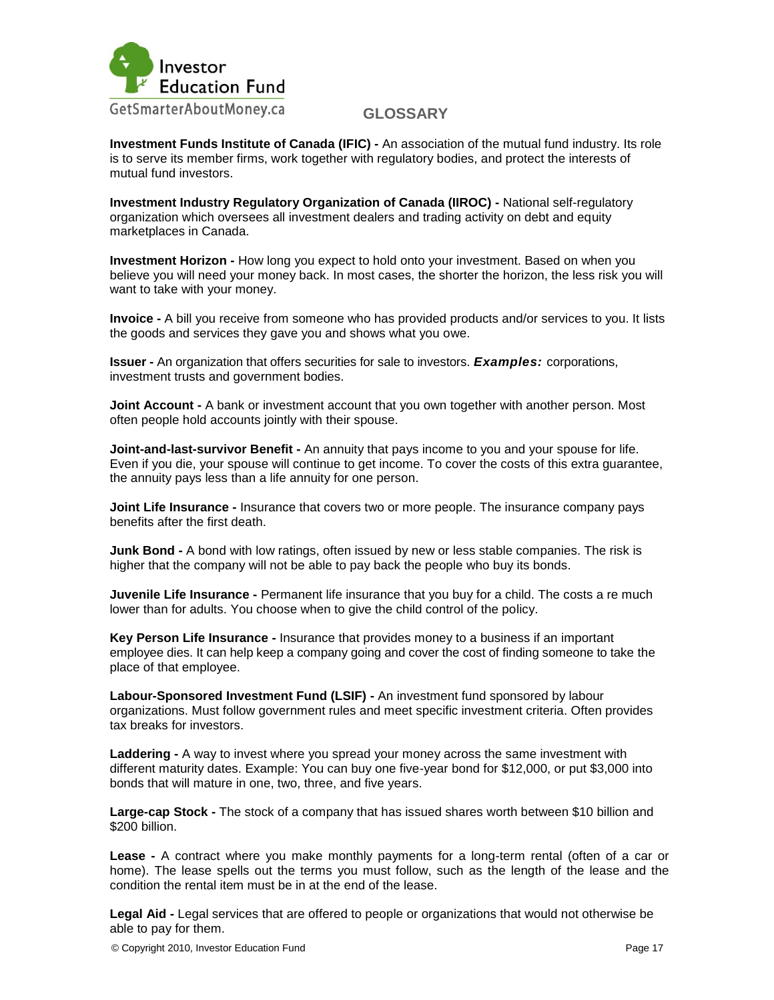

**Investment Funds Institute of Canada (IFIC) -** An association of the mutual fund industry. Its role is to serve its member firms, work together with regulatory bodies, and protect the interests of mutual fund investors.

**Investment Industry Regulatory Organization of Canada (IIROC) -** National self-regulatory organization which oversees all investment dealers and trading activity on debt and equity marketplaces in Canada.

**Investment Horizon -** How long you expect to hold onto your investment. Based on when you believe you will need your money back. In most cases, the shorter the horizon, the less risk you will want to take with your money.

**Invoice -** A bill you receive from someone who has provided products and/or services to you. It lists the goods and services they gave you and shows what you owe.

**Issuer -** An organization that offers securities for sale to investors. *Examples:* corporations, investment trusts and government bodies.

**Joint Account -** A bank or investment account that you own together with another person. Most often people hold accounts jointly with their spouse.

**Joint-and-last-survivor Benefit -** An annuity that pays income to you and your spouse for life. Even if you die, your spouse will continue to get income. To cover the costs of this extra guarantee, the annuity pays less than a life annuity for one person.

**Joint Life Insurance -** Insurance that covers two or more people. The insurance company pays benefits after the first death.

**Junk Bond -** A bond with low ratings, often issued by new or less stable companies. The risk is higher that the company will not be able to pay back the people who buy its bonds.

**Juvenile Life Insurance -** Permanent life insurance that you buy for a child. The costs a re much lower than for adults. You choose when to give the child control of the policy.

**Key Person Life Insurance -** Insurance that provides money to a business if an important employee dies. It can help keep a company going and cover the cost of finding someone to take the place of that employee.

**Labour-Sponsored Investment Fund (LSIF) -** An investment fund sponsored by labour organizations. Must follow government rules and meet specific investment criteria. Often provides tax breaks for investors.

**Laddering -** A way to invest where you spread your money across the same investment with different maturity dates. Example: You can buy one five-year bond for \$12,000, or put \$3,000 into bonds that will mature in one, two, three, and five years.

**Large-cap Stock -** The stock of a company that has issued shares worth between \$10 billion and \$200 billion.

**Lease -** A contract where you make monthly payments for a long-term rental (often of a car or home). The lease spells out the terms you must follow, such as the length of the lease and the condition the rental item must be in at the end of the lease.

**Legal Aid -** Legal services that are offered to people or organizations that would not otherwise be able to pay for them.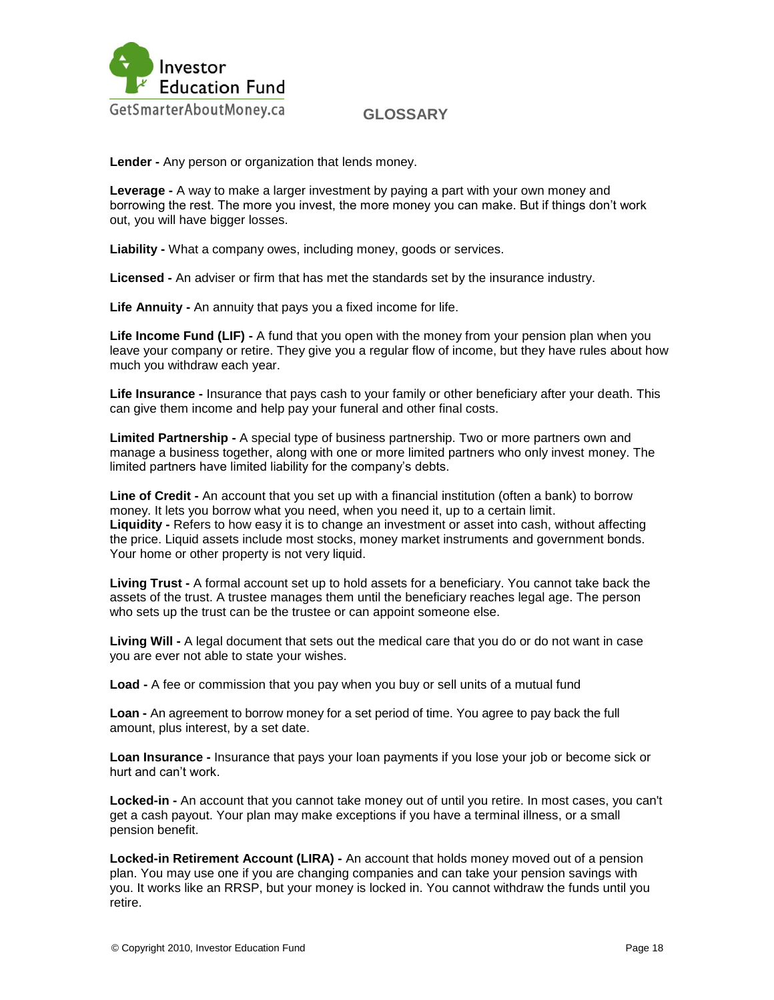

**Lender -** Any person or organization that lends money.

**Leverage -** A way to make a larger investment by paying a part with your own money and borrowing the rest. The more you invest, the more money you can make. But if things don"t work out, you will have bigger losses.

**Liability -** What a company owes, including money, goods or services.

**Licensed -** An adviser or firm that has met the standards set by the insurance industry.

**Life Annuity -** An annuity that pays you a fixed income for life.

Life Income Fund (LIF) - A fund that you open with the money from your pension plan when you leave your company or retire. They give you a regular flow of income, but they have rules about how much you withdraw each year.

**Life Insurance -** Insurance that pays cash to your family or other beneficiary after your death. This can give them income and help pay your funeral and other final costs.

**Limited Partnership -** A special type of business partnership. Two or more partners own and manage a business together, along with one or more limited partners who only invest money. The limited partners have limited liability for the company"s debts.

**Line of Credit -** An account that you set up with a financial institution (often a bank) to borrow money. It lets you borrow what you need, when you need it, up to a certain limit. **Liquidity -** Refers to how easy it is to change an investment or asset into cash, without affecting the price. Liquid assets include most stocks, money market instruments and government bonds. Your home or other property is not very liquid.

**Living Trust -** A formal account set up to hold assets for a beneficiary. You cannot take back the assets of the trust. A trustee manages them until the beneficiary reaches legal age. The person who sets up the trust can be the trustee or can appoint someone else.

**Living Will -** A legal document that sets out the medical care that you do or do not want in case you are ever not able to state your wishes.

**Load -** A fee or commission that you pay when you buy or sell units of a mutual fund

**Loan -** An agreement to borrow money for a set period of time. You agree to pay back the full amount, plus interest, by a set date.

**Loan Insurance -** Insurance that pays your loan payments if you lose your job or become sick or hurt and can"t work.

**Locked-in -** An account that you cannot take money out of until you retire. In most cases, you can't get a cash payout. Your plan may make exceptions if you have a terminal illness, or a small pension benefit.

**Locked-in Retirement Account (LIRA) -** An account that holds money moved out of a pension plan. You may use one if you are changing companies and can take your pension savings with you. It works like an RRSP, but your money is locked in. You cannot withdraw the funds until you retire.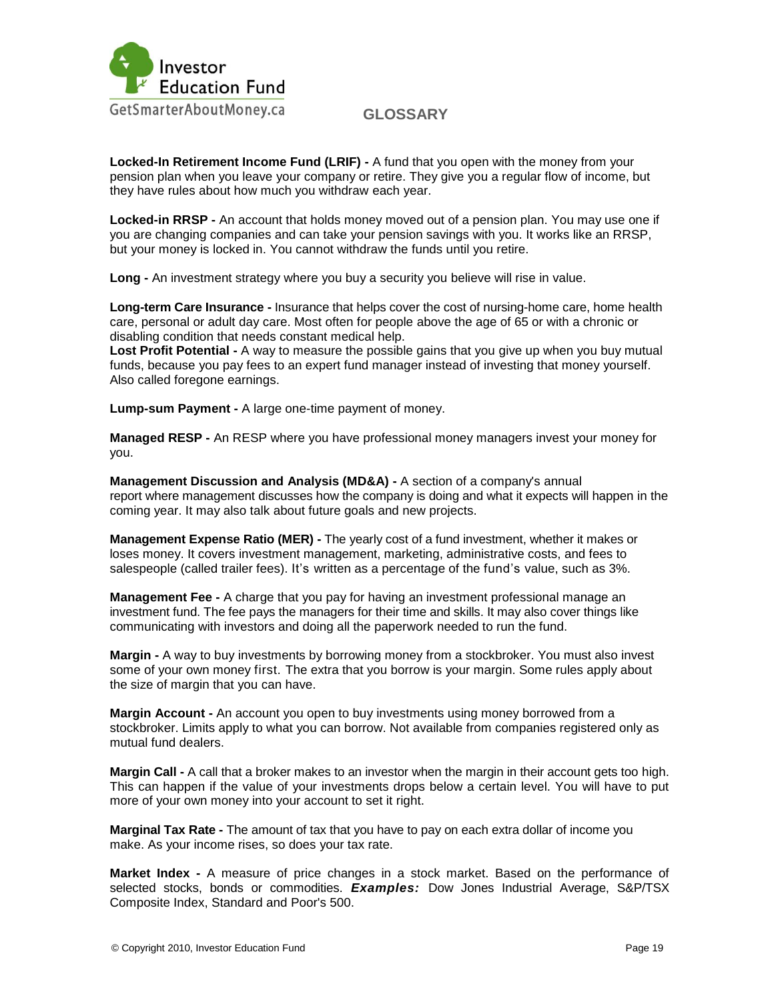

**Locked-In Retirement Income Fund (LRIF) -** A fund that you open with the money from your pension plan when you leave your company or retire. They give you a regular flow of income, but they have rules about how much you withdraw each year.

**Locked-in RRSP -** An account that holds money moved out of a pension plan. You may use one if you are changing companies and can take your pension savings with you. It works like an RRSP, but your money is locked in. You cannot withdraw the funds until you retire.

**Long -** An investment strategy where you buy a security you believe will rise in value.

**Long-term Care Insurance -** Insurance that helps cover the cost of nursing-home care, home health care, personal or adult day care. Most often for people above the age of 65 or with a chronic or disabling condition that needs constant medical help.

**Lost Profit Potential -** A way to measure the possible gains that you give up when you buy mutual funds, because you pay fees to an expert fund manager instead of investing that money yourself. Also called foregone earnings.

**Lump-sum Payment -** A large one-time payment of money.

**Managed RESP -** An RESP where you have professional money managers invest your money for you.

**Management Discussion and Analysis (MD&A) -** A section of a company's annual report where management discusses how the company is doing and what it expects will happen in the coming year. It may also talk about future goals and new projects.

**Management Expense Ratio (MER) -** The yearly cost of a fund investment, whether it makes or loses money. It covers investment management, marketing, administrative costs, and fees to salespeople (called trailer fees). It's written as a percentage of the fund's value, such as 3%.

**Management Fee -** A charge that you pay for having an investment professional manage an investment fund. The fee pays the managers for their time and skills. It may also cover things like communicating with investors and doing all the paperwork needed to run the fund.

**Margin -** A way to buy investments by borrowing money from a stockbroker. You must also invest some of your own money first. The extra that you borrow is your margin. Some rules apply about the size of margin that you can have.

**Margin Account -** An account you open to buy investments using money borrowed from a stockbroker. Limits apply to what you can borrow. Not available from companies registered only as mutual fund dealers.

**Margin Call -** A call that a broker makes to an investor when the margin in their account gets too high. This can happen if the value of your investments drops below a certain level. You will have to put more of your own money into your account to set it right.

**Marginal Tax Rate -** The amount of tax that you have to pay on each extra dollar of income you make. As your income rises, so does your tax rate.

**Market Index -** A measure of price changes in a stock market. Based on the performance of selected stocks, bonds or commodities. *Examples:* Dow Jones Industrial Average, S&P/TSX Composite Index, Standard and Poor's 500.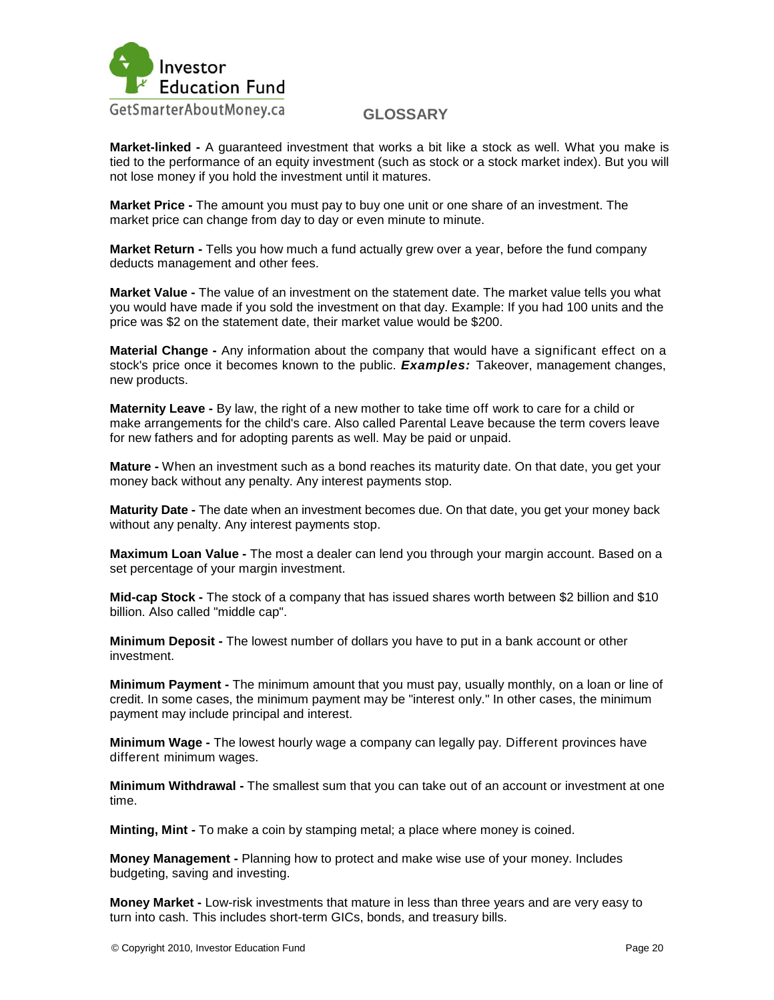

**Market-linked -** A guaranteed investment that works a bit like a stock as well. What you make is tied to the performance of an equity investment (such as stock or a stock market index). But you will not lose money if you hold the investment until it matures.

**Market Price -** The amount you must pay to buy one unit or one share of an investment. The market price can change from day to day or even minute to minute.

**Market Return -** Tells you how much a fund actually grew over a year, before the fund company deducts management and other fees.

**Market Value -** The value of an investment on the statement date. The market value tells you what you would have made if you sold the investment on that day. Example: If you had 100 units and the price was \$2 on the statement date, their market value would be \$200.

**Material Change -** Any information about the company that would have a significant effect on a stock's price once it becomes known to the public. *Examples:* Takeover, management changes, new products.

**Maternity Leave -** By law, the right of a new mother to take time off work to care for a child or make arrangements for the child's care. Also called Parental Leave because the term covers leave for new fathers and for adopting parents as well. May be paid or unpaid.

**Mature -** When an investment such as a bond reaches its maturity date. On that date, you get your money back without any penalty. Any interest payments stop.

**Maturity Date -** The date when an investment becomes due. On that date, you get your money back without any penalty. Any interest payments stop.

**Maximum Loan Value -** The most a dealer can lend you through your margin account. Based on a set percentage of your margin investment.

**Mid-cap Stock -** The stock of a company that has issued shares worth between \$2 billion and \$10 billion. Also called "middle cap".

**Minimum Deposit -** The lowest number of dollars you have to put in a bank account or other investment.

**Minimum Payment -** The minimum amount that you must pay, usually monthly, on a loan or line of credit. In some cases, the minimum payment may be "interest only." In other cases, the minimum payment may include principal and interest.

**Minimum Wage -** The lowest hourly wage a company can legally pay. Different provinces have different minimum wages.

**Minimum Withdrawal -** The smallest sum that you can take out of an account or investment at one time.

**Minting, Mint -** To make a coin by stamping metal; a place where money is coined.

**Money Management -** Planning how to protect and make wise use of your money. Includes budgeting, saving and investing.

**Money Market -** Low-risk investments that mature in less than three years and are very easy to turn into cash. This includes short-term GICs, bonds, and treasury bills.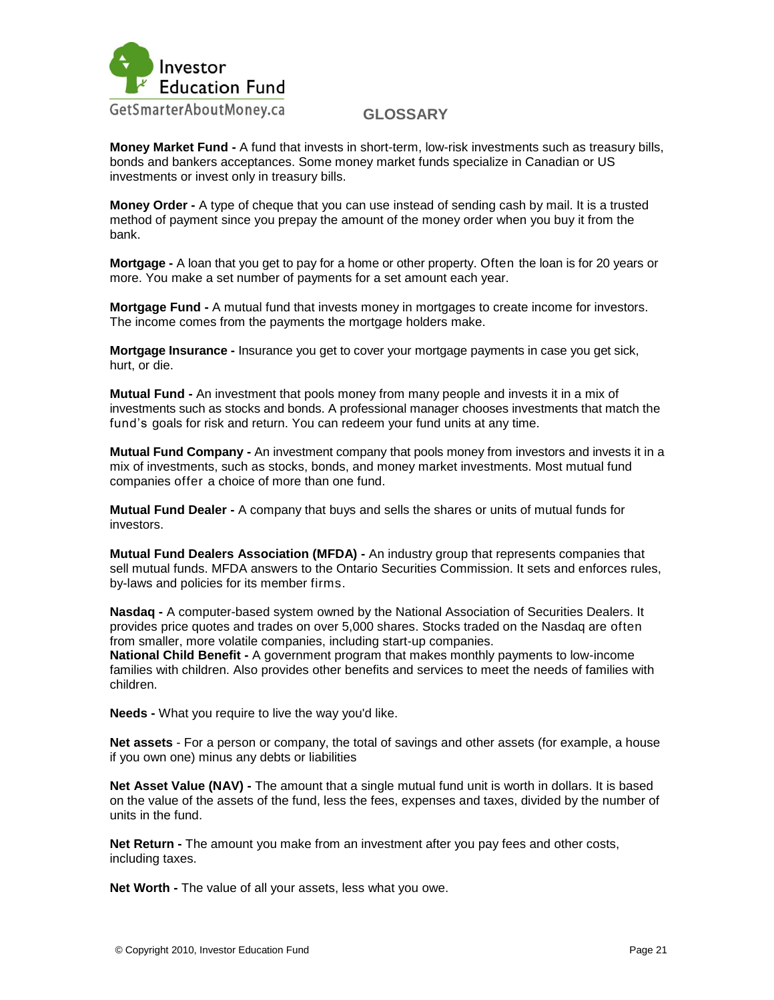

**Money Market Fund -** A fund that invests in short-term, low-risk investments such as treasury bills, bonds and bankers acceptances. Some money market funds specialize in Canadian or US investments or invest only in treasury bills.

**Money Order -** A type of cheque that you can use instead of sending cash by mail. It is a trusted method of payment since you prepay the amount of the money order when you buy it from the bank.

**Mortgage -** A loan that you get to pay for a home or other property. Often the loan is for 20 years or more. You make a set number of payments for a set amount each year.

**Mortgage Fund -** A mutual fund that invests money in mortgages to create income for investors. The income comes from the payments the mortgage holders make.

**Mortgage Insurance -** Insurance you get to cover your mortgage payments in case you get sick, hurt, or die.

**Mutual Fund -** An investment that pools money from many people and invests it in a mix of investments such as stocks and bonds. A professional manager chooses investments that match the fund"s goals for risk and return. You can redeem your fund units at any time.

**Mutual Fund Company -** An investment company that pools money from investors and invests it in a mix of investments, such as stocks, bonds, and money market investments. Most mutual fund companies offer a choice of more than one fund.

**Mutual Fund Dealer -** A company that buys and sells the shares or units of mutual funds for investors.

**Mutual Fund Dealers Association (MFDA) -** An industry group that represents companies that sell mutual funds. MFDA answers to the Ontario Securities Commission. It sets and enforces rules, by-laws and policies for its member firms.

**Nasdaq -** A computer-based system owned by the National Association of Securities Dealers. It provides price quotes and trades on over 5,000 shares. Stocks traded on the Nasdaq are often from smaller, more volatile companies, including start-up companies.

**National Child Benefit -** A government program that makes monthly payments to low-income families with children. Also provides other benefits and services to meet the needs of families with children.

**Needs -** What you require to live the way you'd like.

**Net assets** - For a person or company, the total of savings and other assets (for example, a house if you own one) minus any debts or liabilities

**Net Asset Value (NAV) -** The amount that a single mutual fund unit is worth in dollars. It is based on the value of the assets of the fund, less the fees, expenses and taxes, divided by the number of units in the fund.

**Net Return -** The amount you make from an investment after you pay fees and other costs, including taxes.

**Net Worth -** The value of all your assets, less what you owe.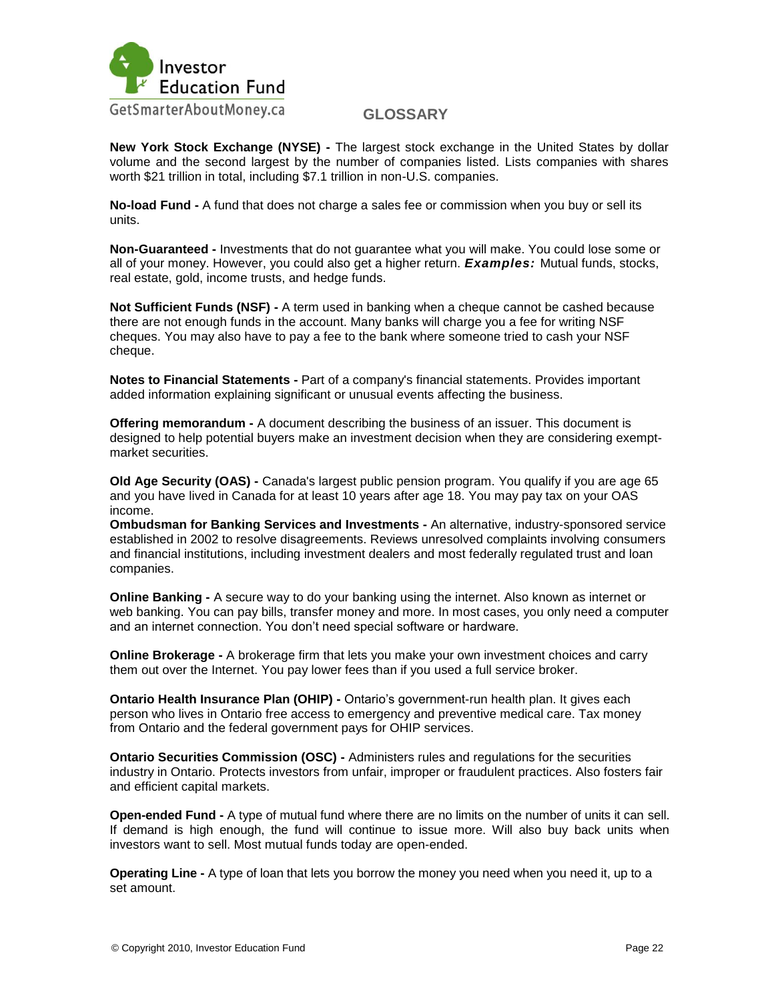

**New York Stock Exchange (NYSE) -** The largest stock exchange in the United States by dollar volume and the second largest by the number of companies listed. Lists companies with shares worth \$21 trillion in total, including \$7.1 trillion in non-U.S. companies.

**No-load Fund -** A fund that does not charge a sales fee or commission when you buy or sell its units.

**Non-Guaranteed -** Investments that do not guarantee what you will make. You could lose some or all of your money. However, you could also get a higher return. *Examples:* Mutual funds, stocks, real estate, gold, income trusts, and hedge funds.

**Not Sufficient Funds (NSF) -** A term used in banking when a cheque cannot be cashed because there are not enough funds in the account. Many banks will charge you a fee for writing NSF cheques. You may also have to pay a fee to the bank where someone tried to cash your NSF cheque.

**Notes to Financial Statements -** Part of a company's financial statements. Provides important added information explaining significant or unusual events affecting the business.

**Offering memorandum -** A document describing the business of an issuer. This document is designed to help potential buyers make an investment decision when they are considering exemptmarket securities.

**Old Age Security (OAS) -** Canada's largest public pension program. You qualify if you are age 65 and you have lived in Canada for at least 10 years after age 18. You may pay tax on your OAS income.

**Ombudsman for Banking Services and Investments -** An alternative, industry-sponsored service established in 2002 to resolve disagreements. Reviews unresolved complaints involving consumers and financial institutions, including investment dealers and most federally regulated trust and loan companies.

**Online Banking -** A secure way to do your banking using the internet. Also known as internet or web banking. You can pay bills, transfer money and more. In most cases, you only need a computer and an internet connection. You don't need special software or hardware.

**Online Brokerage -** A brokerage firm that lets you make your own investment choices and carry them out over the Internet. You pay lower fees than if you used a full service broker.

**Ontario Health Insurance Plan (OHIP) -** Ontario's government-run health plan. It gives each person who lives in Ontario free access to emergency and preventive medical care. Tax money from Ontario and the federal government pays for OHIP services.

**Ontario Securities Commission (OSC) -** Administers rules and regulations for the securities industry in Ontario. Protects investors from unfair, improper or fraudulent practices. Also fosters fair and efficient capital markets.

**Open-ended Fund -** A type of mutual fund where there are no limits on the number of units it can sell. If demand is high enough, the fund will continue to issue more. Will also buy back units when investors want to sell. Most mutual funds today are open-ended.

**Operating Line -** A type of loan that lets you borrow the money you need when you need it, up to a set amount.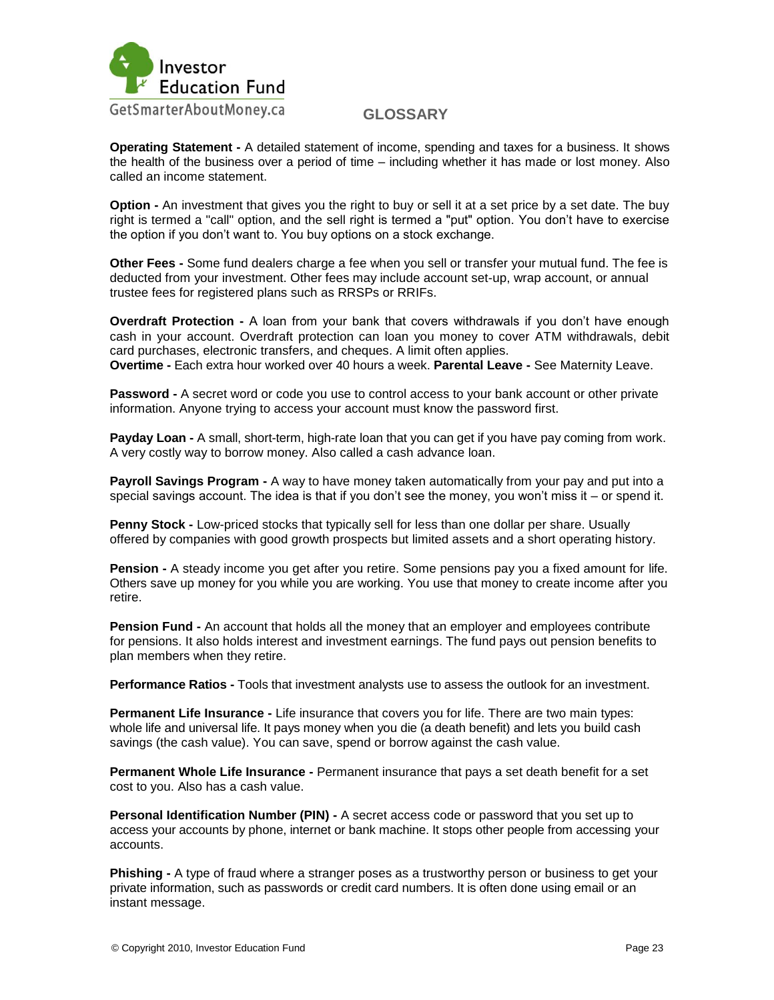

**Operating Statement -** A detailed statement of income, spending and taxes for a business. It shows the health of the business over a period of time – including whether it has made or lost money. Also called an income statement.

**Option -** An investment that gives you the right to buy or sell it at a set price by a set date. The buy right is termed a "call" option, and the sell right is termed a "put" option. You don"t have to exercise the option if you don"t want to. You buy options on a stock exchange.

**Other Fees -** Some fund dealers charge a fee when you sell or transfer your mutual fund. The fee is deducted from your investment. Other fees may include account set-up, wrap account, or annual trustee fees for registered plans such as RRSPs or RRIFs.

**Overdraft Protection -** A loan from your bank that covers withdrawals if you don't have enough cash in your account. Overdraft protection can loan you money to cover ATM withdrawals, debit card purchases, electronic transfers, and cheques. A limit often applies. **Overtime -** Each extra hour worked over 40 hours a week. **Parental Leave -** See Maternity Leave.

**Password -** A secret word or code you use to control access to your bank account or other private information. Anyone trying to access your account must know the password first.

**Payday Loan -** A small, short-term, high-rate loan that you can get if you have pay coming from work. A very costly way to borrow money. Also called a cash advance loan.

**Payroll Savings Program -** A way to have money taken automatically from your pay and put into a special savings account. The idea is that if you don't see the money, you won't miss it  $-$  or spend it.

**Penny Stock -** Low-priced stocks that typically sell for less than one dollar per share. Usually offered by companies with good growth prospects but limited assets and a short operating history.

**Pension -** A steady income you get after you retire. Some pensions pay you a fixed amount for life. Others save up money for you while you are working. You use that money to create income after you retire.

**Pension Fund -** An account that holds all the money that an employer and employees contribute for pensions. It also holds interest and investment earnings. The fund pays out pension benefits to plan members when they retire.

**Performance Ratios -** Tools that investment analysts use to assess the outlook for an investment.

**Permanent Life Insurance -** Life insurance that covers you for life. There are two main types: whole life and universal life. It pays money when you die (a death benefit) and lets you build cash savings (the cash value). You can save, spend or borrow against the cash value.

**Permanent Whole Life Insurance -** Permanent insurance that pays a set death benefit for a set cost to you. Also has a cash value.

**Personal Identification Number (PIN) -** A secret access code or password that you set up to access your accounts by phone, internet or bank machine. It stops other people from accessing your accounts.

**Phishing -** A type of fraud where a stranger poses as a trustworthy person or business to get your private information, such as passwords or credit card numbers. It is often done using email or an instant message.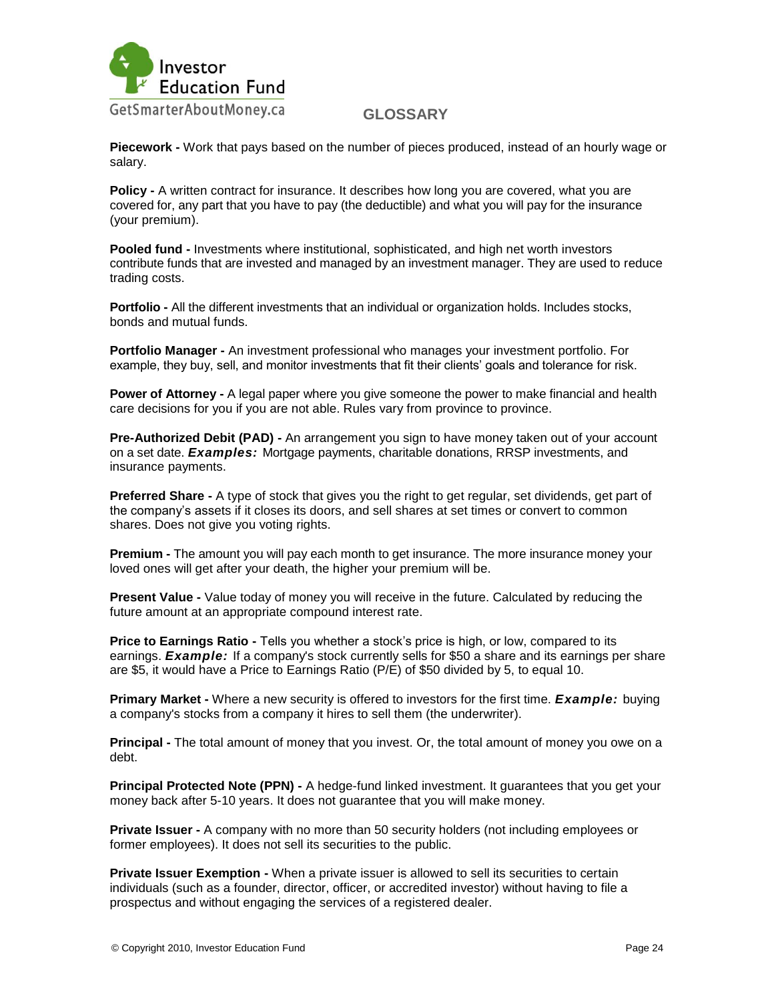

**Piecework -** Work that pays based on the number of pieces produced, instead of an hourly wage or salary.

**Policy -** A written contract for insurance. It describes how long you are covered, what you are covered for, any part that you have to pay (the deductible) and what you will pay for the insurance (your premium).

**Pooled fund -** Investments where institutional, sophisticated, and high net worth investors contribute funds that are invested and managed by an investment manager. They are used to reduce trading costs.

**Portfolio -** All the different investments that an individual or organization holds. Includes stocks, bonds and mutual funds.

**Portfolio Manager -** An investment professional who manages your investment portfolio. For example, they buy, sell, and monitor investments that fit their clients" goals and tolerance for risk.

**Power of Attorney -** A legal paper where you give someone the power to make financial and health care decisions for you if you are not able. Rules vary from province to province.

**Pre-Authorized Debit (PAD) -** An arrangement you sign to have money taken out of your account on a set date. *Examples:* Mortgage payments, charitable donations, RRSP investments, and insurance payments.

**Preferred Share -** A type of stock that gives you the right to get regular, set dividends, get part of the company"s assets if it closes its doors, and sell shares at set times or convert to common shares. Does not give you voting rights.

**Premium -** The amount you will pay each month to get insurance. The more insurance money your loved ones will get after your death, the higher your premium will be.

**Present Value -** Value today of money you will receive in the future. Calculated by reducing the future amount at an appropriate compound interest rate.

**Price to Earnings Ratio -** Tells you whether a stock's price is high, or low, compared to its earnings. *Example:* If a company's stock currently sells for \$50 a share and its earnings per share are \$5, it would have a Price to Earnings Ratio (P/E) of \$50 divided by 5, to equal 10.

**Primary Market -** Where a new security is offered to investors for the first time. *Example:* buying a company's stocks from a company it hires to sell them (the underwriter).

**Principal -** The total amount of money that you invest. Or, the total amount of money you owe on a debt.

**Principal Protected Note (PPN) -** A hedge-fund linked investment. It guarantees that you get your money back after 5-10 years. It does not guarantee that you will make money.

**Private Issuer -** A company with no more than 50 security holders (not including employees or former employees). It does not sell its securities to the public.

**Private Issuer Exemption -** When a private issuer is allowed to sell its securities to certain individuals (such as a founder, director, officer, or accredited investor) without having to file a prospectus and without engaging the services of a registered dealer.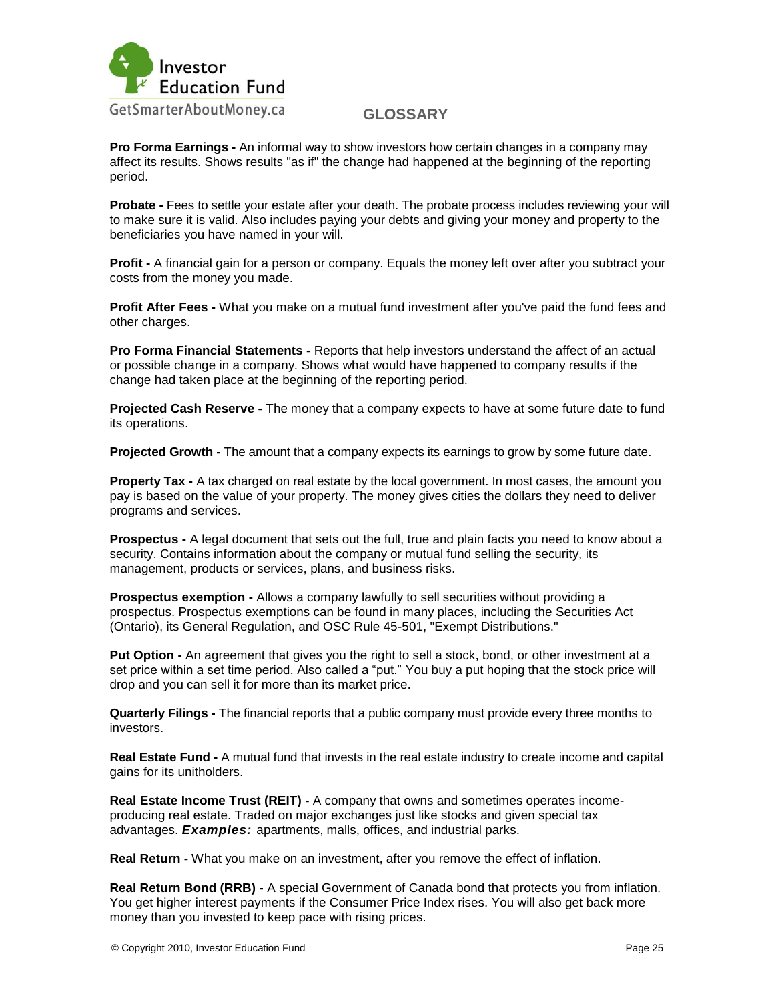

**Pro Forma Earnings -** An informal way to show investors how certain changes in a company may affect its results. Shows results "as if" the change had happened at the beginning of the reporting period.

**Probate -** Fees to settle your estate after your death. The probate process includes reviewing your will to make sure it is valid. Also includes paying your debts and giving your money and property to the beneficiaries you have named in your will.

**Profit -** A financial gain for a person or company. Equals the money left over after you subtract your costs from the money you made.

**Profit After Fees -** What you make on a mutual fund investment after you've paid the fund fees and other charges.

**Pro Forma Financial Statements -** Reports that help investors understand the affect of an actual or possible change in a company. Shows what would have happened to company results if the change had taken place at the beginning of the reporting period.

**Projected Cash Reserve -** The money that a company expects to have at some future date to fund its operations.

**Projected Growth -** The amount that a company expects its earnings to grow by some future date.

**Property Tax -** A tax charged on real estate by the local government. In most cases, the amount you pay is based on the value of your property. The money gives cities the dollars they need to deliver programs and services.

**Prospectus -** A legal document that sets out the full, true and plain facts you need to know about a security. Contains information about the company or mutual fund selling the security, its management, products or services, plans, and business risks.

**Prospectus exemption -** Allows a company lawfully to sell securities without providing a prospectus. Prospectus exemptions can be found in many places, including the Securities Act (Ontario), its General Regulation, and OSC Rule 45-501, "Exempt Distributions."

**Put Option -** An agreement that gives you the right to sell a stock, bond, or other investment at a set price within a set time period. Also called a "put." You buy a put hoping that the stock price will drop and you can sell it for more than its market price.

**Quarterly Filings -** The financial reports that a public company must provide every three months to investors.

**Real Estate Fund -** A mutual fund that invests in the real estate industry to create income and capital gains for its unitholders.

**Real Estate Income Trust (REIT) -** A company that owns and sometimes operates incomeproducing real estate. Traded on major exchanges just like stocks and given special tax advantages. *Examples:* apartments, malls, offices, and industrial parks.

**Real Return -** What you make on an investment, after you remove the effect of inflation.

**Real Return Bond (RRB) -** A special Government of Canada bond that protects you from inflation. You get higher interest payments if the Consumer Price Index rises. You will also get back more money than you invested to keep pace with rising prices.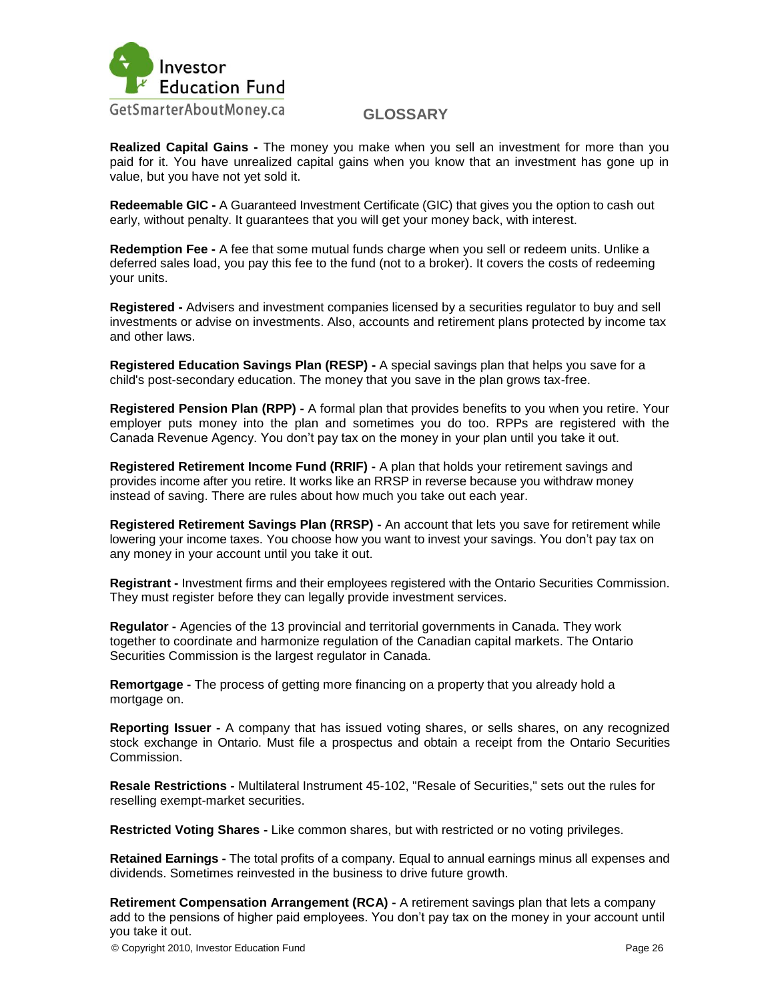

**Realized Capital Gains -** The money you make when you sell an investment for more than you paid for it. You have unrealized capital gains when you know that an investment has gone up in value, but you have not yet sold it.

**Redeemable GIC -** A Guaranteed Investment Certificate (GIC) that gives you the option to cash out early, without penalty. It guarantees that you will get your money back, with interest.

**Redemption Fee -** A fee that some mutual funds charge when you sell or redeem units. Unlike a deferred sales load, you pay this fee to the fund (not to a broker). It covers the costs of redeeming your units.

**Registered -** Advisers and investment companies licensed by a securities regulator to buy and sell investments or advise on investments. Also, accounts and retirement plans protected by income tax and other laws.

**Registered Education Savings Plan (RESP) -** A special savings plan that helps you save for a child's post-secondary education. The money that you save in the plan grows tax-free.

**Registered Pension Plan (RPP) -** A formal plan that provides benefits to you when you retire. Your employer puts money into the plan and sometimes you do too. RPPs are registered with the Canada Revenue Agency. You don"t pay tax on the money in your plan until you take it out.

**Registered Retirement Income Fund (RRIF) -** A plan that holds your retirement savings and provides income after you retire. It works like an RRSP in reverse because you withdraw money instead of saving. There are rules about how much you take out each year.

**Registered Retirement Savings Plan (RRSP) -** An account that lets you save for retirement while lowering your income taxes. You choose how you want to invest your savings. You don"t pay tax on any money in your account until you take it out.

**Registrant -** Investment firms and their employees registered with the Ontario Securities Commission. They must register before they can legally provide investment services.

**Regulator -** Agencies of the 13 provincial and territorial governments in Canada. They work together to coordinate and harmonize regulation of the Canadian capital markets. The Ontario Securities Commission is the largest regulator in Canada.

**Remortgage -** The process of getting more financing on a property that you already hold a mortgage on.

**Reporting Issuer -** A company that has issued voting shares, or sells shares, on any recognized stock exchange in Ontario. Must file a prospectus and obtain a receipt from the Ontario Securities Commission.

**Resale Restrictions -** Multilateral Instrument 45-102, "Resale of Securities," sets out the rules for reselling exempt-market securities.

**Restricted Voting Shares -** Like common shares, but with restricted or no voting privileges.

**Retained Earnings -** The total profits of a company. Equal to annual earnings minus all expenses and dividends. Sometimes reinvested in the business to drive future growth.

**Retirement Compensation Arrangement (RCA) -** A retirement savings plan that lets a company add to the pensions of higher paid employees. You don"t pay tax on the money in your account until you take it out.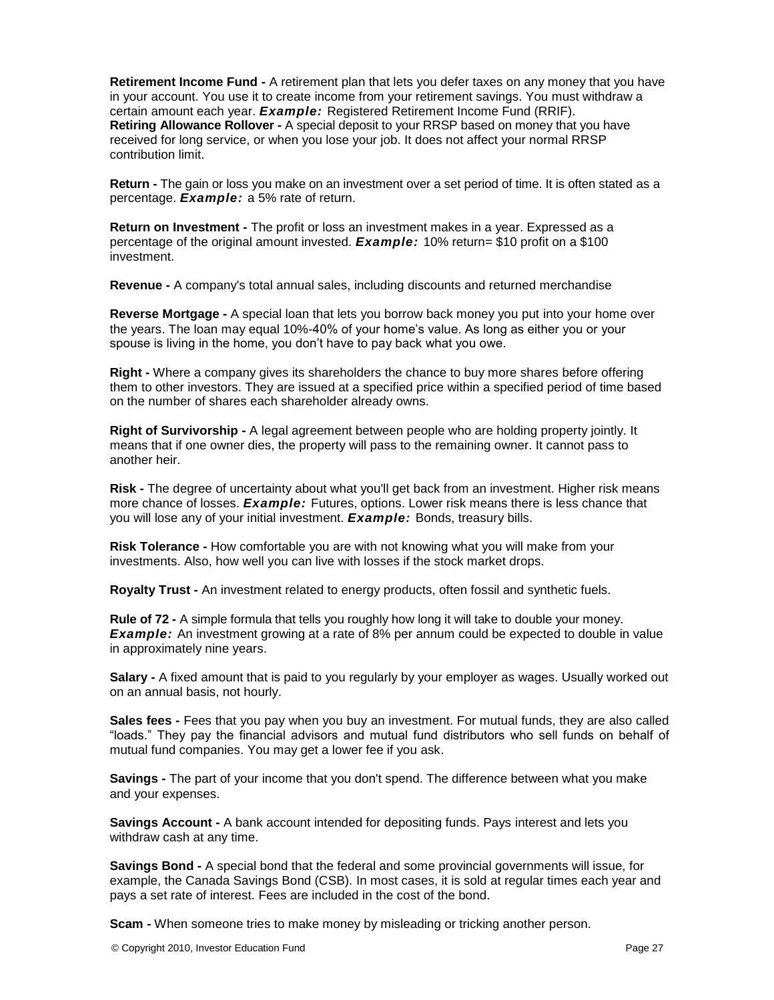**Retirement Income Fund -** A retirement plan that lets you defer taxes on any money that you have in your account. You use it to create income from your retirement savings. You must withdraw a certain amount each year. *Example:* Registered Retirement Income Fund (RRIF). **Retiring Allowance Rollover -** A special deposit to your RRSP based on money that you have received for long service, or when you lose your job. It does not affect your normal RRSP contribution limit.

**Return -** The gain or loss you make on an investment over a set period of time. It is often stated as a percentage. *Example:* a 5% rate of return.

**Return on Investment -** The profit or loss an investment makes in a year. Expressed as a percentage of the original amount invested. *Example:* 10% return= \$10 profit on a \$100 investment.

**Revenue -** A company's total annual sales, including discounts and returned merchandise

**Reverse Mortgage -** A special loan that lets you borrow back money you put into your home over the years. The loan may equal 10%-40% of your home's value. As long as either you or your spouse is living in the home, you don"t have to pay back what you owe.

**Right -** Where a company gives its shareholders the chance to buy more shares before offering them to other investors. They are issued at a specified price within a specified period of time based on the number of shares each shareholder already owns.

**Right of Survivorship -** A legal agreement between people who are holding property jointly. It means that if one owner dies, the property will pass to the remaining owner. It cannot pass to another heir.

**Risk -** The degree of uncertainty about what you'll get back from an investment. Higher risk means more chance of losses. *Example:* Futures, options. Lower risk means there is less chance that you will lose any of your initial investment. *Example:* Bonds, treasury bills.

**Risk Tolerance -** How comfortable you are with not knowing what you will make from your investments. Also, how well you can live with losses if the stock market drops.

**Royalty Trust -** An investment related to energy products, often fossil and synthetic fuels.

**Rule of 72 -** A simple formula that tells you roughly how long it will take to double your money. **Example:** An investment growing at a rate of 8% per annum could be expected to double in value in approximately nine years.

**Salary -** A fixed amount that is paid to you regularly by your employer as wages. Usually worked out on an annual basis, not hourly.

**Sales fees -** Fees that you pay when you buy an investment. For mutual funds, they are also called "loads." They pay the financial advisors and mutual fund distributors who sell funds on behalf of mutual fund companies. You may get a lower fee if you ask.

**Savings -** The part of your income that you don't spend. The difference between what you make and your expenses.

**Savings Account -** A bank account intended for depositing funds. Pays interest and lets you withdraw cash at any time.

**Savings Bond -** A special bond that the federal and some provincial governments will issue, for example, the Canada Savings Bond (CSB). In most cases, it is sold at regular times each year and pays a set rate of interest. Fees are included in the cost of the bond.

**Scam -** When someone tries to make money by misleading or tricking another person.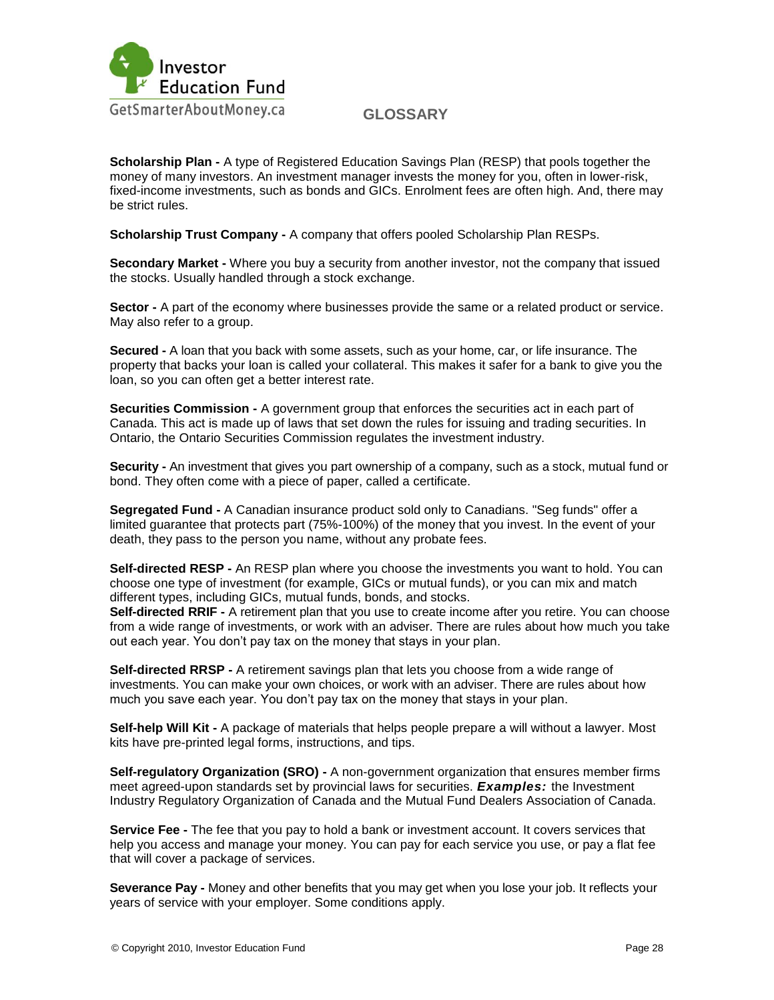

**Scholarship Plan -** A type of Registered Education Savings Plan (RESP) that pools together the money of many investors. An investment manager invests the money for you, often in lower-risk, fixed-income investments, such as bonds and GICs. Enrolment fees are often high. And, there may be strict rules.

**Scholarship Trust Company -** A company that offers pooled Scholarship Plan RESPs.

**Secondary Market -** Where you buy a security from another investor, not the company that issued the stocks. Usually handled through a stock exchange.

**Sector -** A part of the economy where businesses provide the same or a related product or service. May also refer to a group.

**Secured -** A loan that you back with some assets, such as your home, car, or life insurance. The property that backs your loan is called your collateral. This makes it safer for a bank to give you the loan, so you can often get a better interest rate.

**Securities Commission -** A government group that enforces the securities act in each part of Canada. This act is made up of laws that set down the rules for issuing and trading securities. In Ontario, the Ontario Securities Commission regulates the investment industry.

**Security -** An investment that gives you part ownership of a company, such as a stock, mutual fund or bond. They often come with a piece of paper, called a certificate.

**Segregated Fund -** A Canadian insurance product sold only to Canadians. "Seg funds" offer a limited guarantee that protects part (75%-100%) of the money that you invest. In the event of your death, they pass to the person you name, without any probate fees.

**Self-directed RESP -** An RESP plan where you choose the investments you want to hold. You can choose one type of investment (for example, GICs or mutual funds), or you can mix and match different types, including GICs, mutual funds, bonds, and stocks.

**Self-directed RRIF -** A retirement plan that you use to create income after you retire. You can choose from a wide range of investments, or work with an adviser. There are rules about how much you take out each year. You don't pay tax on the money that stays in your plan.

**Self-directed RRSP -** A retirement savings plan that lets you choose from a wide range of investments. You can make your own choices, or work with an adviser. There are rules about how much you save each year. You don"t pay tax on the money that stays in your plan.

**Self-help Will Kit -** A package of materials that helps people prepare a will without a lawyer. Most kits have pre-printed legal forms, instructions, and tips.

**Self-regulatory Organization (SRO) -** A non-government organization that ensures member firms meet agreed-upon standards set by provincial laws for securities. *Examples:* the Investment Industry Regulatory Organization of Canada and the Mutual Fund Dealers Association of Canada.

**Service Fee -** The fee that you pay to hold a bank or investment account. It covers services that help you access and manage your money. You can pay for each service you use, or pay a flat fee that will cover a package of services.

**Severance Pay -** Money and other benefits that you may get when you lose your job. It reflects your years of service with your employer. Some conditions apply.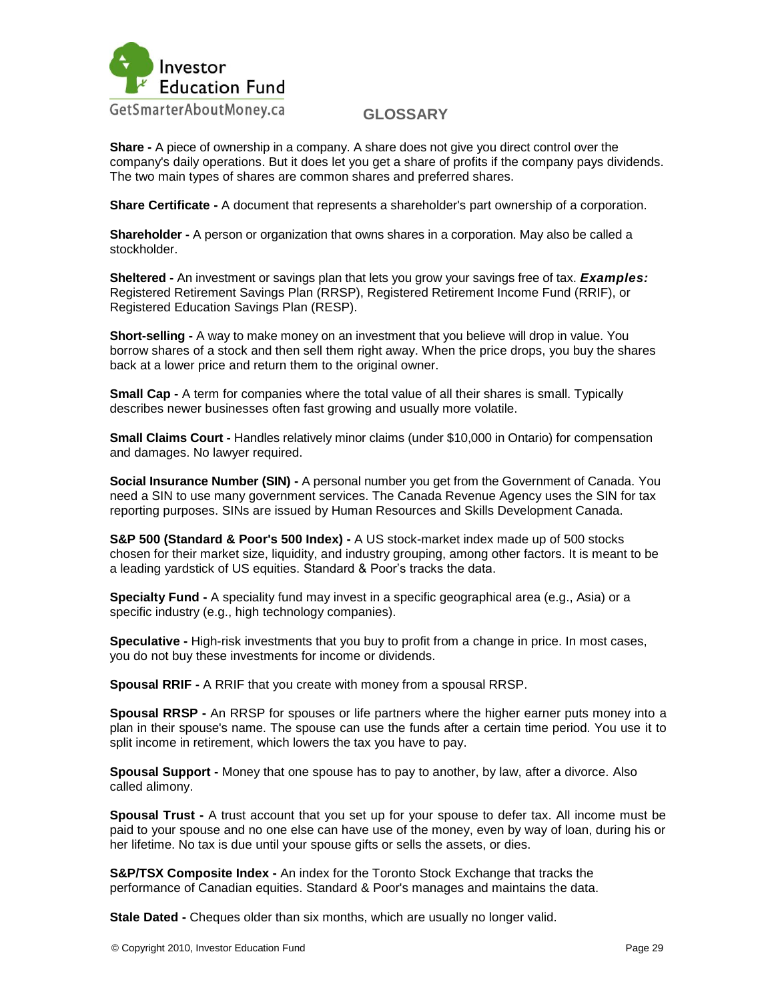

**Share -** A piece of ownership in a company. A share does not give you direct control over the company's daily operations. But it does let you get a share of profits if the company pays dividends. The two main types of shares are common shares and preferred shares.

**Share Certificate -** A document that represents a shareholder's part ownership of a corporation.

**Shareholder -** A person or organization that owns shares in a corporation. May also be called a stockholder.

**Sheltered -** An investment or savings plan that lets you grow your savings free of tax. *Examples:*  Registered Retirement Savings Plan (RRSP), Registered Retirement Income Fund (RRIF), or Registered Education Savings Plan (RESP).

**Short-selling -** A way to make money on an investment that you believe will drop in value. You borrow shares of a stock and then sell them right away. When the price drops, you buy the shares back at a lower price and return them to the original owner.

**Small Cap -** A term for companies where the total value of all their shares is small. Typically describes newer businesses often fast growing and usually more volatile.

**Small Claims Court -** Handles relatively minor claims (under \$10,000 in Ontario) for compensation and damages. No lawyer required.

**Social Insurance Number (SIN) -** A personal number you get from the Government of Canada. You need a SIN to use many government services. The Canada Revenue Agency uses the SIN for tax reporting purposes. SINs are issued by Human Resources and Skills Development Canada.

**S&P 500 (Standard & Poor's 500 Index) -** A US stock-market index made up of 500 stocks chosen for their market size, liquidity, and industry grouping, among other factors. It is meant to be a leading yardstick of US equities. Standard & Poor"s tracks the data.

**Specialty Fund -** A speciality fund may invest in a specific geographical area (e.g., Asia) or a specific industry (e.g., high technology companies).

**Speculative -** High-risk investments that you buy to profit from a change in price. In most cases, you do not buy these investments for income or dividends.

**Spousal RRIF -** A RRIF that you create with money from a spousal RRSP.

**Spousal RRSP -** An RRSP for spouses or life partners where the higher earner puts money into a plan in their spouse's name. The spouse can use the funds after a certain time period. You use it to split income in retirement, which lowers the tax you have to pay.

**Spousal Support -** Money that one spouse has to pay to another, by law, after a divorce. Also called alimony.

**Spousal Trust -** A trust account that you set up for your spouse to defer tax. All income must be paid to your spouse and no one else can have use of the money, even by way of loan, during his or her lifetime. No tax is due until your spouse gifts or sells the assets, or dies.

**S&P/TSX Composite Index -** An index for the Toronto Stock Exchange that tracks the performance of Canadian equities. Standard & Poor's manages and maintains the data.

**Stale Dated -** Cheques older than six months, which are usually no longer valid.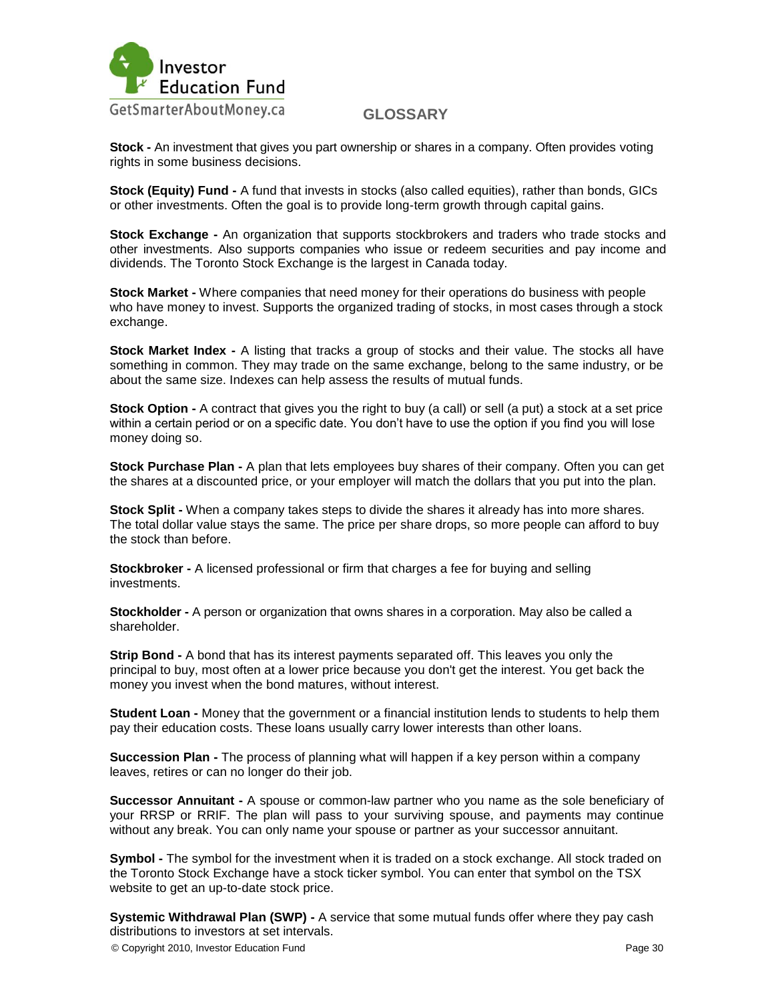

**Stock -** An investment that gives you part ownership or shares in a company. Often provides voting rights in some business decisions.

**Stock (Equity) Fund -** A fund that invests in stocks (also called equities), rather than bonds, GICs or other investments. Often the goal is to provide long-term growth through capital gains.

**Stock Exchange -** An organization that supports stockbrokers and traders who trade stocks and other investments. Also supports companies who issue or redeem securities and pay income and dividends. The Toronto Stock Exchange is the largest in Canada today.

**Stock Market -** Where companies that need money for their operations do business with people who have money to invest. Supports the organized trading of stocks, in most cases through a stock exchange.

**Stock Market Index -** A listing that tracks a group of stocks and their value. The stocks all have something in common. They may trade on the same exchange, belong to the same industry, or be about the same size. Indexes can help assess the results of mutual funds.

**Stock Option -** A contract that gives you the right to buy (a call) or sell (a put) a stock at a set price within a certain period or on a specific date. You don"t have to use the option if you find you will lose money doing so.

**Stock Purchase Plan -** A plan that lets employees buy shares of their company. Often you can get the shares at a discounted price, or your employer will match the dollars that you put into the plan.

**Stock Split -** When a company takes steps to divide the shares it already has into more shares. The total dollar value stays the same. The price per share drops, so more people can afford to buy the stock than before.

**Stockbroker -** A licensed professional or firm that charges a fee for buying and selling investments.

**Stockholder -** A person or organization that owns shares in a corporation. May also be called a shareholder.

**Strip Bond -** A bond that has its interest payments separated off. This leaves you only the principal to buy, most often at a lower price because you don't get the interest. You get back the money you invest when the bond matures, without interest.

**Student Loan -** Money that the government or a financial institution lends to students to help them pay their education costs. These loans usually carry lower interests than other loans.

**Succession Plan -** The process of planning what will happen if a key person within a company leaves, retires or can no longer do their job.

**Successor Annuitant -** A spouse or common-law partner who you name as the sole beneficiary of your RRSP or RRIF. The plan will pass to your surviving spouse, and payments may continue without any break. You can only name your spouse or partner as your successor annuitant.

**Symbol -** The symbol for the investment when it is traded on a stock exchange. All stock traded on the Toronto Stock Exchange have a stock ticker symbol. You can enter that symbol on the TSX website to get an up-to-date stock price.

**Systemic Withdrawal Plan (SWP) -** A service that some mutual funds offer where they pay cash distributions to investors at set intervals.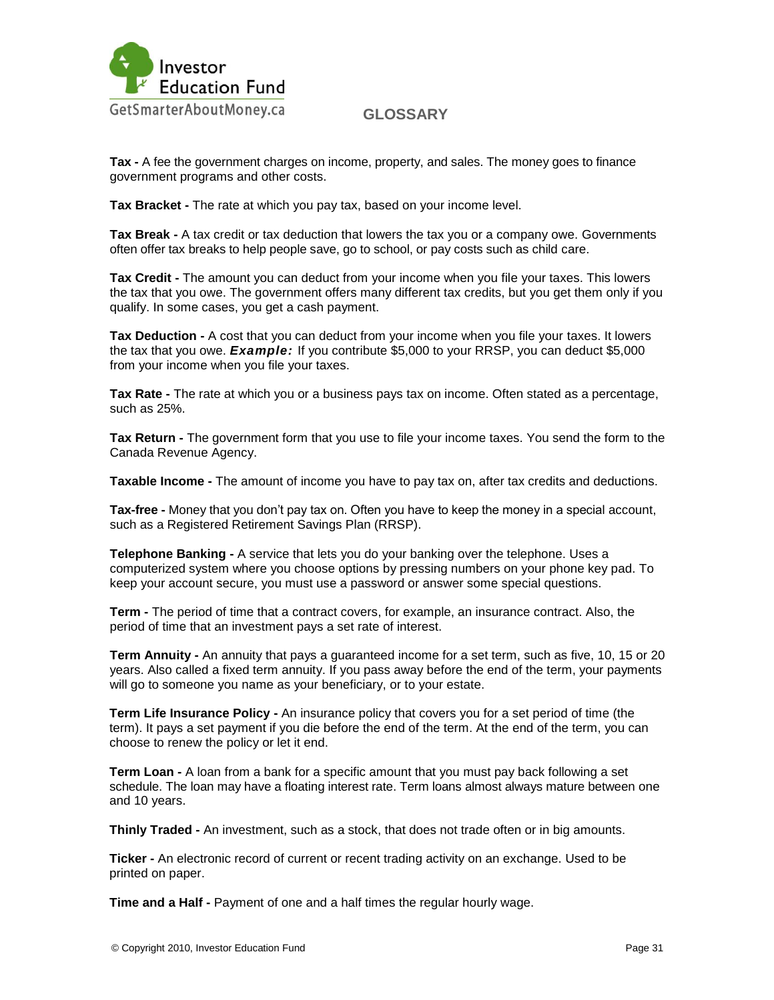

**Tax -** A fee the government charges on income, property, and sales. The money goes to finance government programs and other costs.

**Tax Bracket -** The rate at which you pay tax, based on your income level.

**Tax Break -** A tax credit or tax deduction that lowers the tax you or a company owe. Governments often offer tax breaks to help people save, go to school, or pay costs such as child care.

**Tax Credit -** The amount you can deduct from your income when you file your taxes. This lowers the tax that you owe. The government offers many different tax credits, but you get them only if you qualify. In some cases, you get a cash payment.

**Tax Deduction -** A cost that you can deduct from your income when you file your taxes. It lowers the tax that you owe. *Example:* If you contribute \$5,000 to your RRSP, you can deduct \$5,000 from your income when you file your taxes.

**Tax Rate -** The rate at which you or a business pays tax on income. Often stated as a percentage, such as 25%.

**Tax Return -** The government form that you use to file your income taxes. You send the form to the Canada Revenue Agency.

**Taxable Income -** The amount of income you have to pay tax on, after tax credits and deductions.

**Tax-free -** Money that you don"t pay tax on. Often you have to keep the money in a special account, such as a Registered Retirement Savings Plan (RRSP).

**Telephone Banking -** A service that lets you do your banking over the telephone. Uses a computerized system where you choose options by pressing numbers on your phone key pad. To keep your account secure, you must use a password or answer some special questions.

**Term -** The period of time that a contract covers, for example, an insurance contract. Also, the period of time that an investment pays a set rate of interest.

**Term Annuity -** An annuity that pays a guaranteed income for a set term, such as five, 10, 15 or 20 years. Also called a fixed term annuity. If you pass away before the end of the term, your payments will go to someone you name as your beneficiary, or to your estate.

**Term Life Insurance Policy -** An insurance policy that covers you for a set period of time (the term). It pays a set payment if you die before the end of the term. At the end of the term, you can choose to renew the policy or let it end.

**Term Loan -** A loan from a bank for a specific amount that you must pay back following a set schedule. The loan may have a floating interest rate. Term loans almost always mature between one and 10 years.

**Thinly Traded -** An investment, such as a stock, that does not trade often or in big amounts.

**Ticker -** An electronic record of current or recent trading activity on an exchange. Used to be printed on paper.

**Time and a Half -** Payment of one and a half times the regular hourly wage.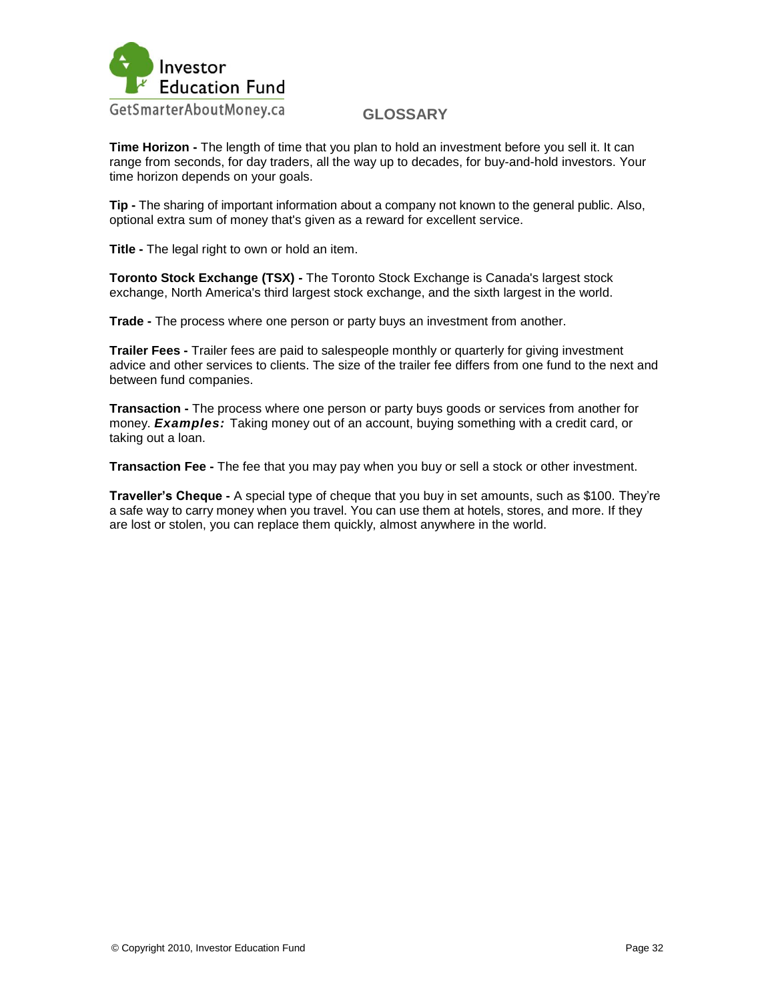

**Time Horizon -** The length of time that you plan to hold an investment before you sell it. It can range from seconds, for day traders, all the way up to decades, for buy-and-hold investors. Your time horizon depends on your goals.

**Tip -** The sharing of important information about a company not known to the general public. Also, optional extra sum of money that's given as a reward for excellent service.

**Title -** The legal right to own or hold an item.

**Toronto Stock Exchange (TSX) -** The Toronto Stock Exchange is Canada's largest stock exchange, North America's third largest stock exchange, and the sixth largest in the world.

**Trade -** The process where one person or party buys an investment from another.

**Trailer Fees -** Trailer fees are paid to salespeople monthly or quarterly for giving investment advice and other services to clients. The size of the trailer fee differs from one fund to the next and between fund companies.

**Transaction -** The process where one person or party buys goods or services from another for money. *Examples:* Taking money out of an account, buying something with a credit card, or taking out a loan.

**Transaction Fee -** The fee that you may pay when you buy or sell a stock or other investment.

**Traveller's Cheque -** A special type of cheque that you buy in set amounts, such as \$100. They"re a safe way to carry money when you travel. You can use them at hotels, stores, and more. If they are lost or stolen, you can replace them quickly, almost anywhere in the world.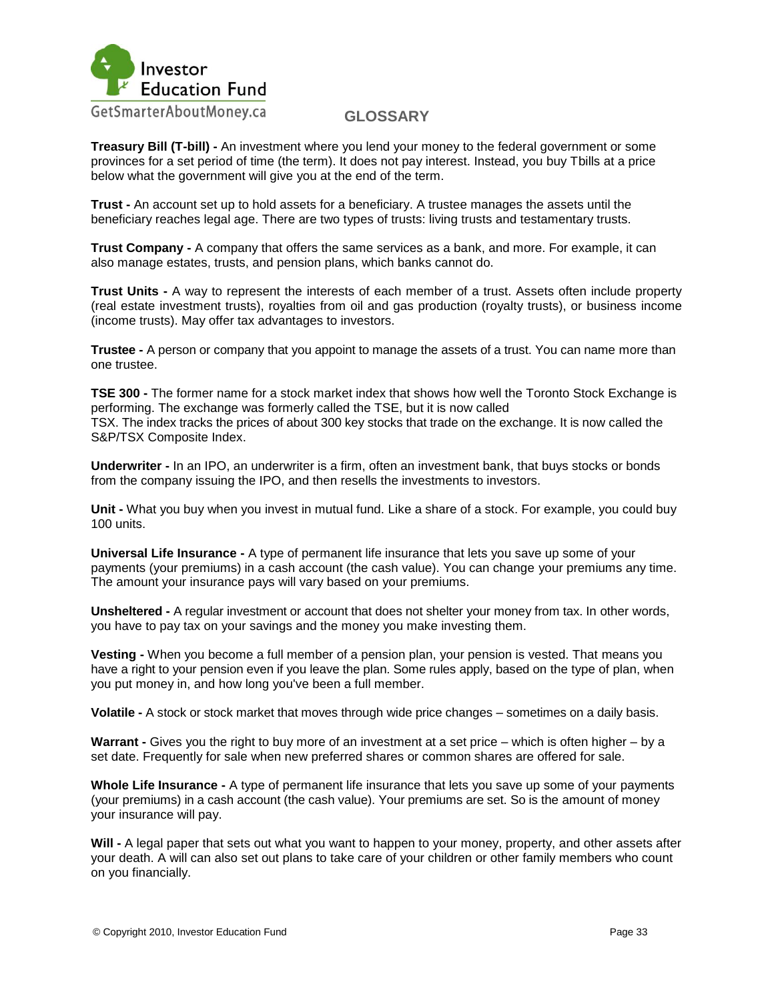

**Treasury Bill (T-bill) -** An investment where you lend your money to the federal government or some provinces for a set period of time (the term). It does not pay interest. Instead, you buy Tbills at a price below what the government will give you at the end of the term.

**Trust -** An account set up to hold assets for a beneficiary. A trustee manages the assets until the beneficiary reaches legal age. There are two types of trusts: living trusts and testamentary trusts.

**Trust Company -** A company that offers the same services as a bank, and more. For example, it can also manage estates, trusts, and pension plans, which banks cannot do.

**Trust Units -** A way to represent the interests of each member of a trust. Assets often include property (real estate investment trusts), royalties from oil and gas production (royalty trusts), or business income (income trusts). May offer tax advantages to investors.

**Trustee -** A person or company that you appoint to manage the assets of a trust. You can name more than one trustee.

**TSE 300 -** The former name for a stock market index that shows how well the Toronto Stock Exchange is performing. The exchange was formerly called the TSE, but it is now called TSX. The index tracks the prices of about 300 key stocks that trade on the exchange. It is now called the S&P/TSX Composite Index.

**Underwriter -** In an IPO, an underwriter is a firm, often an investment bank, that buys stocks or bonds from the company issuing the IPO, and then resells the investments to investors.

**Unit -** What you buy when you invest in mutual fund. Like a share of a stock. For example, you could buy 100 units.

**Universal Life Insurance -** A type of permanent life insurance that lets you save up some of your payments (your premiums) in a cash account (the cash value). You can change your premiums any time. The amount your insurance pays will vary based on your premiums.

**Unsheltered -** A regular investment or account that does not shelter your money from tax. In other words, you have to pay tax on your savings and the money you make investing them.

**Vesting -** When you become a full member of a pension plan, your pension is vested. That means you have a right to your pension even if you leave the plan. Some rules apply, based on the type of plan, when you put money in, and how long you've been a full member.

**Volatile -** A stock or stock market that moves through wide price changes – sometimes on a daily basis.

**Warrant -** Gives you the right to buy more of an investment at a set price – which is often higher – by a set date. Frequently for sale when new preferred shares or common shares are offered for sale.

**Whole Life Insurance -** A type of permanent life insurance that lets you save up some of your payments (your premiums) in a cash account (the cash value). Your premiums are set. So is the amount of money your insurance will pay.

**Will -** A legal paper that sets out what you want to happen to your money, property, and other assets after your death. A will can also set out plans to take care of your children or other family members who count on you financially.